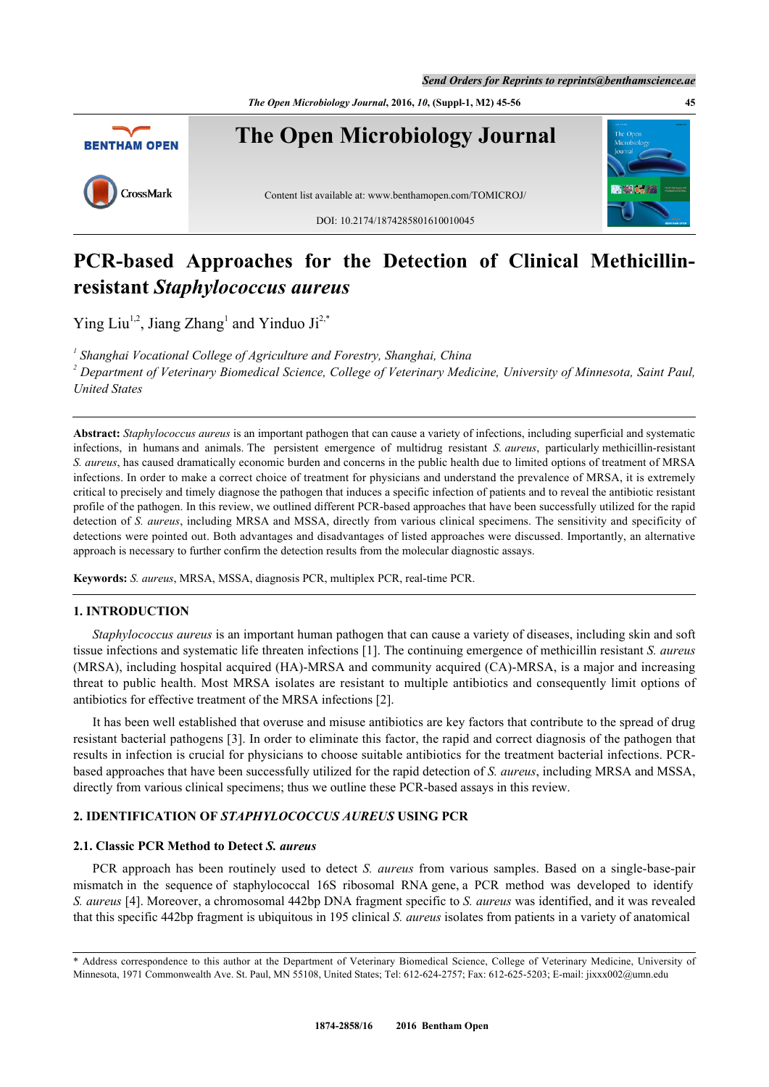*The Open Microbiology Journal***, 2016,** *10***, (Suppl-1, M2) 45-56 45**



# **PCR-based Approaches for the Detection of Clinical Methicillinresistant** *Staphylococcus aureus*

Ying Liu<sup>[1,](#page-0-0)[2](#page-0-1)</sup>, Jiang Zhang<sup>[1](#page-0-0)</sup> and Yinduo Ji<sup>[2,](#page-0-1)[\\*](#page-0-2)</sup>

<span id="page-0-0"></span><sup>1</sup> Shanghai Vocational College of Agriculture and Forestry, Shanghai, China

<span id="page-0-1"></span>*2 Department of Veterinary Biomedical Science, College of Veterinary Medicine, University of Minnesota, Saint Paul, United States*

**Abstract:** *Staphylococcus aureus* is an important pathogen that can cause a variety of infections, including superficial and systematic infections, in humans and animals. The persistent emergence of multidrug resistant *S. aureus*, particularly methicillin-resistant *S. aureus*, has caused dramatically economic burden and concerns in the public health due to limited options of treatment of MRSA infections. In order to make a correct choice of treatment for physicians and understand the prevalence of MRSA, it is extremely critical to precisely and timely diagnose the pathogen that induces a specific infection of patients and to reveal the antibiotic resistant profile of the pathogen. In this review, we outlined different PCR-based approaches that have been successfully utilized for the rapid detection of *S. aureus*, including MRSA and MSSA, directly from various clinical specimens. The sensitivity and specificity of detections were pointed out. Both advantages and disadvantages of listed approaches were discussed. Importantly, an alternative approach is necessary to further confirm the detection results from the molecular diagnostic assays.

**Keywords:** *S. aureus*, MRSA, MSSA, diagnosis PCR, multiplex PCR, real-time PCR.

### **1. INTRODUCTION**

*Staphylococcus aureus* is an important human pathogen that can cause a variety of diseases, including skin and soft tissue infections and systematic life threaten infections [[1\]](#page-6-0). The continuing emergence of methicillin resistant *S. aureus* (MRSA), including hospital acquired (HA)-MRSA and community acquired (CA)-MRSA, is a major and increasing threat to public health. Most MRSA isolates are resistant to multiple antibiotics and consequently limit options of antibiotics for effective treatment of the MRSA infections [\[2](#page-6-1)].

It has been well established that overuse and misuse antibiotics are key factors that contribute to the spread of drug resistant bacterial pathogens [\[3](#page-6-2)]. In order to eliminate this factor, the rapid and correct diagnosis of the pathogen that results in infection is crucial for physicians to choose suitable antibiotics for the treatment bacterial infections. PCRbased approaches that have been successfully utilized for the rapid detection of *S. aureus*, including MRSA and MSSA, directly from various clinical specimens; thus we outline these PCR-based assays in this review.

# **2. IDENTIFICATION OF** *STAPHYLOCOCCUS AUREUS* **USING PCR**

# **2.1. Classic PCR Method to Detect** *S. aureus*

PCR approach has been routinely used to detect *S. aureus* from various samples. Based on a single-base-pair mismatch in the sequence of staphylococcal 16S ribosomal RNA gene, a PCR method was developed to identify *S. aureus* [\[4](#page-6-3)]. Moreover, a chromosomal 442bp DNA fragment specific to *S. aureus* was identified, and it was revealed that this specific 442bp fragment is ubiquitous in 195 clinical *S. aureus* isolates from patients in a variety of anatomical

<span id="page-0-2"></span><sup>\*</sup> Address correspondence to this author at the Department of Veterinary Biomedical Science, College of Veterinary Medicine, University of Minnesota, 1971 Commonwealth Ave. St. Paul, MN 55108, United States; Tel: 612-624-2757; Fax: 612-625-5203; E-mail: [jixxx002@umn.edu](mailto:jixxx002@umn.edu)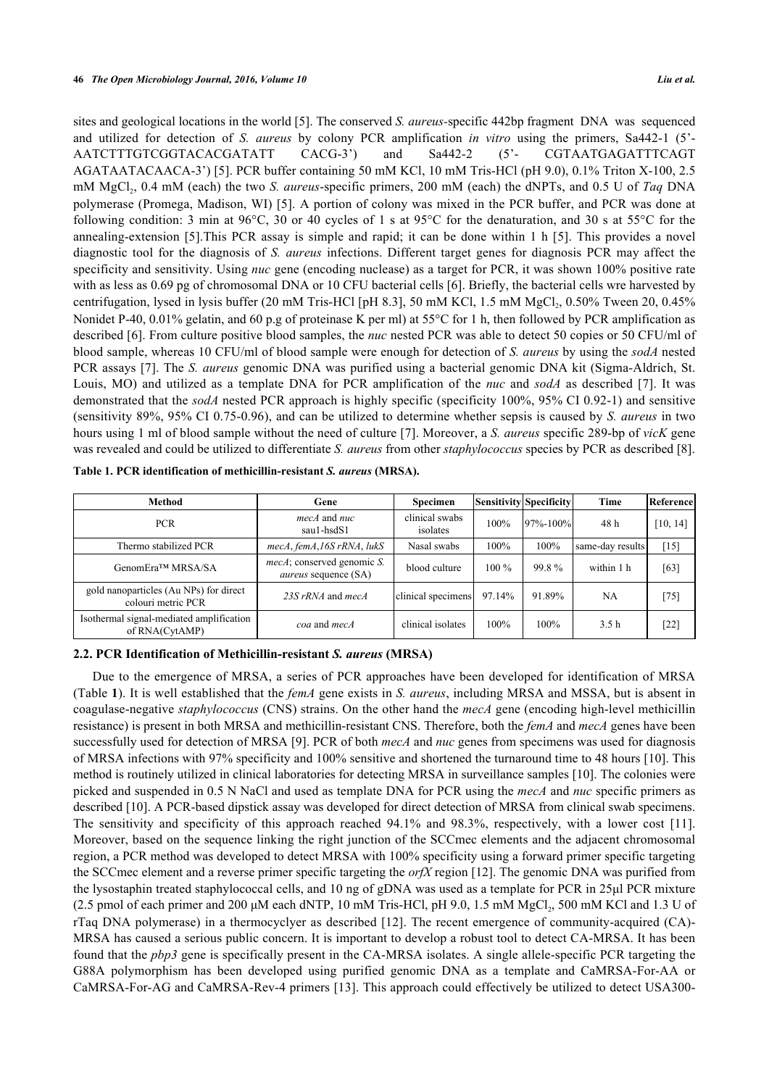sites and geological locations in the world [\[5\]](#page-7-0). The conserved *S. aureus-*specific 442bp fragment DNA was sequenced and utilized for detection of *S. aureus* by colony PCR amplification *in vitro* using the primers, Sa442-1 (5'- AATCTTTGTCGGTACACGATATT CACG-3') and Sa442-2 (5'- CGTAATGAGATTTCAGT AGATAATACAACA-3') [\[5](#page-7-0)]. PCR buffer containing 50 mM KCl, 10 mM Tris-HCl (pH 9.0), 0.1% Triton X-100, 2.5 mM MgCl<sub>2</sub>, 0.4 mM (each) the two *S. aureus*-specific primers, 200 mM (each) the dNPTs, and 0.5 U of *Taq* DNA polymerase (Promega, Madison, WI) [[5\]](#page-7-0). A portion of colony was mixed in the PCR buffer, and PCR was done at following condition: 3 min at 96°C, 30 or 40 cycles of 1 s at 95°C for the denaturation, and 30 s at 55°C for the annealing-extension [\[5](#page-7-0)].This PCR assay is simple and rapid; it can be done within 1 h [[5\]](#page-7-0). This provides a novel diagnostic tool for the diagnosis of *S. aureus* infections. Different target genes for diagnosis PCR may affect the specificity and sensitivity. Using *nuc* gene (encoding nuclease) as a target for PCR, it was shown 100% positive rate with as less as 0.69 pg of chromosomal DNA or 10 CFU bacterial cells [[6\]](#page-7-1). Briefly, the bacterial cells wre harvested by centrifugation, lysed in lysis buffer (20 mM Tris-HCl [pH 8.3], 50 mM KCl, 1.5 mM  $MgCl<sub>2</sub>$ , 0.50% Tween 20, 0.45% Nonidet P-40, 0.01% gelatin, and 60 p.g of proteinase K per ml) at 55°C for 1 h, then followed by PCR amplification as described [[6\]](#page-7-1). From culture positive blood samples, the *nuc* nested PCR was able to detect 50 copies or 50 CFU/ml of blood sample, whereas 10 CFU/ml of blood sample were enough for detection of *S. aureus* by using the *sodA* nested PCR assays [\[7](#page-7-2)]. The *S. aureus* genomic DNA was purified using a bacterial genomic DNA kit (Sigma-Aldrich, St. Louis, MO) and utilized as a template DNA for PCR amplification of the *nuc* and *sodA* as described [\[7\]](#page-7-2). It was demonstrated that the *sodA* nested PCR approach is highly specific (specificity 100%, 95% CI 0.92-1) and sensitive (sensitivity 89%, 95% CI 0.75-0.96), and can be utilized to determine whether sepsis is caused by *S. aureus* in two hours using 1 ml of blood sample without the need of culture [[7\]](#page-7-2). Moreover, a *S. aureus* specific 289-bp of *vicK* gene was revealed and could be utilized to differentiate *S. aureus* from other *staphylococcus* species by PCR as described [\[8](#page-7-3)].

| <b>Method</b>                                                | Gene                                                              | <b>Specimen</b>            |         | Sensitivity Specificity | Time             | Referencel |
|--------------------------------------------------------------|-------------------------------------------------------------------|----------------------------|---------|-------------------------|------------------|------------|
| <b>PCR</b>                                                   | $mecA$ and $nuc$<br>saul-hsdS1                                    | clinical swabs<br>isolates | 100%    | $97\% - 100\%$          | 48 h             | [10, 14]   |
| Thermo stabilized PCR                                        | mecA, femA, 16S rRNA, lukS                                        | Nasal swabs                | 100%    | 100%                    | same-day results | $[15]$     |
| GenomEra™ MRSA/SA                                            | <i>mecA</i> ; conserved genomic S.<br><i>aureus</i> sequence (SA) | blood culture              | $100\%$ | 99.8%                   | within 1 h       | [63]       |
| gold nanoparticles (Au NPs) for direct<br>colouri metric PCR | $23S$ rRNA and mecA                                               | clinical specimens         | 97.14%  | 91.89%                  | NA               | $[75]$     |
| Isothermal signal-mediated amplification<br>of RNA(CytAMP)   | coa and mecA                                                      | clinical isolates          | 100%    | 100%                    | 3.5h             | [22]       |

<span id="page-1-0"></span>**Table 1. PCR identification of methicillin-resistant** *S. aureus* **(MRSA).**

### **2.2. PCR Identification of Methicillin-resistant** *S. aureus* **(MRSA)**

Due to the emergence of MRSA, a series of PCR approaches have been developed for identification of MRSA (Table **[1](#page-1-0)**). It is well established that the *femA* gene exists in *S. aureus*, including MRSA and MSSA, but is absent in coagulase-negative *staphylococcus* (CNS) strains. On the other hand the *mecA* gene (encoding high-level methicillin resistance) is present in both MRSA and methicillin-resistant CNS. Therefore, both the *femA* and *mecA* genes have been successfully used for detection of MRSA [[9\]](#page-7-8). PCR of both *mecA* and *nuc* genes from specimens was used for diagnosis of MRSA infections with 97% specificity and 100% sensitive and shortened the turnaround time to 48 hours [[10](#page-7-4)]. This method is routinely utilized in clinical laboratories for detecting MRSA in surveillance samples [[10\]](#page-7-4). The colonies were picked and suspended in 0.5 N NaCl and used as template DNA for PCR using the *mecA* and *nuc* specific primers as described [[10\]](#page-7-4). A PCR-based dipstick assay was developed for direct detection of MRSA from clinical swab specimens. The sensitivity and specificity of this approach reached 94.1% and 98.3%, respectively, with a lower cost [\[11\]](#page-7-9). Moreover, based on the sequence linking the right junction of the SCCmec elements and the adjacent chromosomal region, a PCR method was developed to detect MRSA with 100% specificity using a forward primer specific targeting the SCCmec element and a reverse primer specific targeting the *orfX* region [\[12](#page-7-10)]. The genomic DNA was purified from the lysostaphin treated staphylococcal cells, and 10 ng of gDNA was used as a template for PCR in 25μl PCR mixture (2.5 pmol of each primer and 200  $\mu$ M each dNTP, 10 mM Tris-HCl, pH 9.0, 1.5 mM MgCl<sub>2</sub>, 500 mM KCl and 1.3 U of rTaq DNA polymerase) in a thermocyclyer as described [[12\]](#page-7-10). The recent emergence of community-acquired (CA)- MRSA has caused a serious public concern. It is important to develop a robust tool to detect CA-MRSA. It has been found that the *pbp3* gene is specifically present in the CA-MRSA isolates. A single allele-specific PCR targeting the G88A polymorphism has been developed using purified genomic DNA as a template and CaMRSA-For-AA or CaMRSA-For-AG and CaMRSA-Rev-4 primers [[13](#page-7-11)]. This approach could effectively be utilized to detect USA300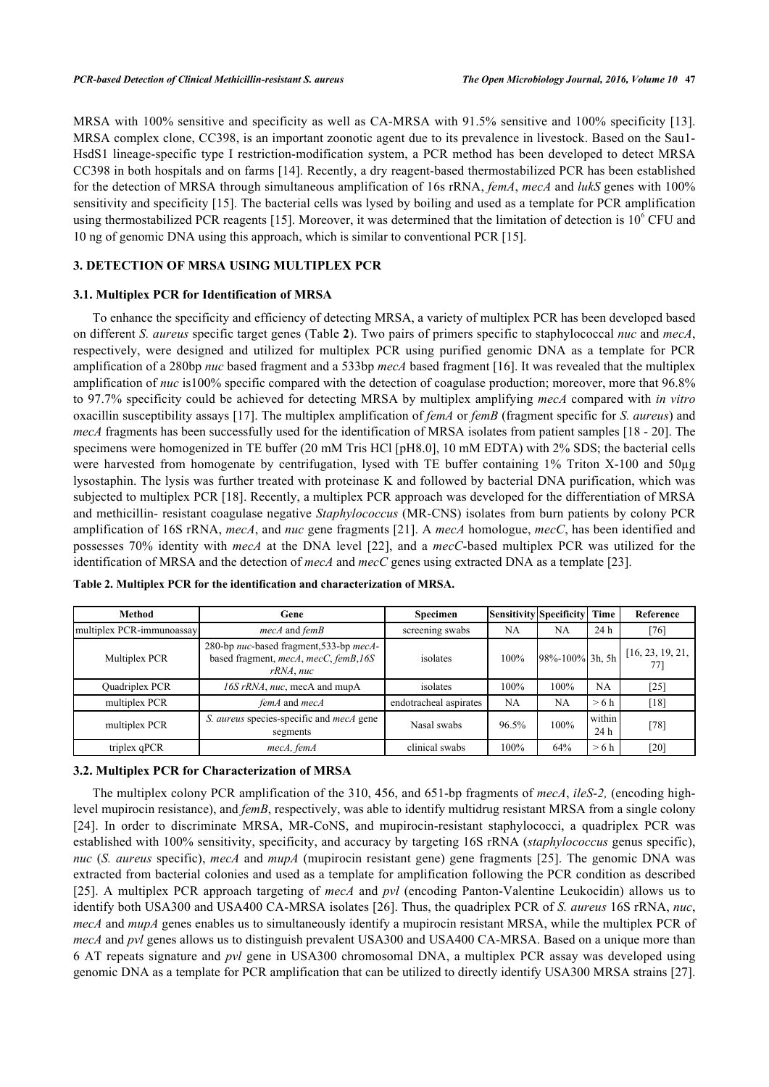MRSA with 100% sensitive and specificity as well as CA-MRSA with 91.5% sensitive and 100% specificity [\[13\]](#page-7-11). MRSA complex clone, CC398, is an important zoonotic agent due to its prevalence in livestock. Based on the Sau1- HsdS1 lineage-specific type I restriction-modification system, a PCR method has been developed to detect MRSA CC398 in both hospitals and on farms [[14\]](#page-7-5). Recently, a dry reagent-based thermostabilized PCR has been established for the detection of MRSA through simultaneous amplification of 16s rRNA, *femA*, *mecA* and *lukS* genes with 100% sensitivity and specificity [[15\]](#page-7-6). The bacterial cells was lysed by boiling and used as a template for PCR amplification using thermostabilized PCR reagents [[15\]](#page-7-6). Moreover, it was determined that the limitation of detection is  $10^6$  CFU and 10 ng of genomic DNA using this approach, which is similar to conventional PCR [[15\]](#page-7-6).

# **3. DETECTION OF MRSA USING MULTIPLEX PCR**

### **3.1. Multiplex PCR for Identification of MRSA**

To enhance the specificity and efficiency of detecting MRSA, a variety of multiplex PCR has been developed based on different *S. aureus* specific target genes (Table **[2](#page-2-0)**). Two pairs of primers specific to staphylococcal *nuc* and *mecA*, respectively, were designed and utilized for multiplex PCR using purified genomic DNA as a template for PCR amplification of a 280bp *nuc* based fragment and a 533bp *mecA* based fragment [\[16](#page-7-12)]. It was revealed that the multiplex amplification of *nuc* is100% specific compared with the detection of coagulase production; moreover, more that 96.8% to 97.7% specificity could be achieved for detecting MRSA by multiplex amplifying *mecA* compared with *in vitro* oxacillin susceptibility assays [[17\]](#page-7-13). The multiplex amplification of *femA* or *femB* (fragment specific for *S. aureus*) and *mecA* fragments has been successfully used for the identification of MRSA isolates from patient samples [[18](#page-7-14) - [20](#page-7-15)]. The specimens were homogenized in TE buffer (20 mM Tris HCl [pH8.0], 10 mM EDTA) with 2% SDS; the bacterial cells were harvested from homogenate by centrifugation, lysed with TE buffer containing 1% Triton X-100 and 50µg lysostaphin. The lysis was further treated with proteinase K and followed by bacterial DNA purification, which was subjected to multiplex PCR [\[18](#page-7-14)]. Recently, a multiplex PCR approach was developed for the differentiation of MRSA and methicillin- resistant coagulase negative *Staphylococcus* (MR-CNS) isolates from burn patients by colony PCR amplification of 16S rRNA, *mecA*, and *nuc* gene fragments [[21](#page-7-16)]. A *mecA* homologue, *mecC*, has been identified and possesses 70% identity with *mecA* at the DNA level[[22](#page-7-7)], and a *mecC*-based multiplex PCR was utilized for the identification of MRSA and the detection of *mecA* and *mecC* genes using extracted DNA as a template [[23\]](#page-7-17).

| <b>Method</b>             | Gene                                                                                          | Specimen               | Sensitivity Specificity |                       | Time           | Reference          |
|---------------------------|-----------------------------------------------------------------------------------------------|------------------------|-------------------------|-----------------------|----------------|--------------------|
| multiplex PCR-immunoassay | mecA and femB                                                                                 | screening swabs        | <b>NA</b>               | <b>NA</b>             | 24 h           | [76]               |
| Multiplex PCR             | 280-bp nuc-based fragment, 533-bp mecA-<br>based fragment, mecA, mecC, femB, 16S<br>rRNA, nuc | isolates               | 100%                    | $98\% - 100\%$ 3h, 5h |                | [16, 23, 19, 21,   |
| Quadriplex PCR            | 16S rRNA, nuc, mecA and mupA                                                                  | isolates               | 100%                    | 100%                  | NA             | $[25]$             |
| multiplex PCR             | femA and mecA                                                                                 | endotracheal aspirates | <b>NA</b>               | <b>NA</b>             | >6 h           | [18]               |
| multiplex PCR             | S. aureus species-specific and mecA gene<br>segments                                          | Nasal swabs            | 96.5%                   | 100%                  | within<br>24 h | [78]               |
| triplex qPCR              | mecA, femA                                                                                    | clinical swabs         | 100%                    | 64%                   | >6 h           | $\left[ 20\right]$ |

<span id="page-2-0"></span>

|  |  |  | Table 2. Multiplex PCR for the identification and characterization of MRSA. |  |
|--|--|--|-----------------------------------------------------------------------------|--|
|--|--|--|-----------------------------------------------------------------------------|--|

#### **3.2. Multiplex PCR for Characterization of MRSA**

The multiplex colony PCR amplification of the 310, 456, and 651-bp fragments of *mecA*, *ileS*-*2,* (encoding highlevel mupirocin resistance), and *femB*, respectively, was able to identify multidrug resistant MRSA from a single colony [\[24](#page-8-1)]. In order to discriminate MRSA, MR-CoNS, and mupirocin-resistant staphylococci, a quadriplex PCR was established with 100% sensitivity, specificity, and accuracy by targeting 16S rRNA (*staphylococcus* genus specific), *nuc* (*S. aureus* specific), *mecA* and *mupA* (mupirocin resistant gene) gene fragments [[25](#page-8-0)]. The genomic DNA was extracted from bacterial colonies and used as a template for amplification following the PCR condition as described [\[25](#page-8-0)]. A multiplex PCR approach targeting of *mecA* and *pvl* (encoding Panton-Valentine Leukocidin) allows us to identify both USA300 and USA400 CA-MRSA isolates [[26](#page-8-2)]. Thus, the quadriplex PCR of *S. aureus* 16S rRNA, *nuc*, *mecA* and *mupA* genes enables us to simultaneously identify a mupirocin resistant MRSA, while the multiplex PCR of *mecA* and *pvl* genes allows us to distinguish prevalent USA300 and USA400 CA-MRSA. Based on a unique more than 6 AT repeats signature and *pvl* gene in USA300 chromosomal DNA, a multiplex PCR assay was developed using genomic DNA as a template for PCR amplification that can be utilized to directly identify USA300 MRSA strains [[27\]](#page-8-3).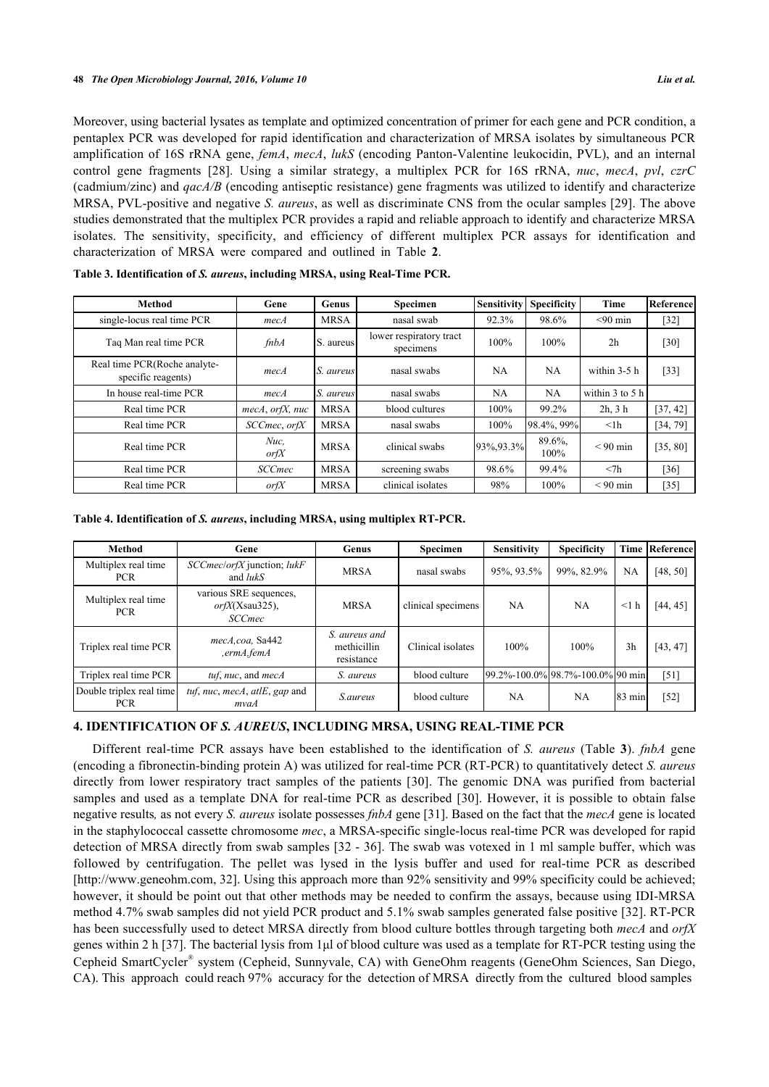Moreover, using bacterial lysates as template and optimized concentration of primer for each gene and PCR condition, a pentaplex PCR was developed for rapid identification and characterization of MRSA isolates by simultaneous PCR amplification of 16S rRNA gene, *femA*, *mecA*, *lukS* (encoding Panton-Valentine leukocidin, PVL), and an internal control gene fragments [\[28\]](#page-8-4). Using a similar strategy, a multiplex PCR for 16S rRNA, *nuc*, *mecA*, *pvl*, *czrC* (cadmium/zinc) and *qacA/B* (encoding antiseptic resistance) gene fragments was utilized to identify and characterize MRSA, PVL-positive and negative *S. aureus*, as well as discriminate CNS from the ocular samples [[29](#page-8-5)]. The above studies demonstrated that the multiplex PCR provides a rapid and reliable approach to identify and characterize MRSA isolates. The sensitivity, specificity, and efficiency of different multiplex PCR assays for identification and characterization of MRSA were compared and outlined in Table**2**.

| <b>Method</b>                                      | Gene               | Genus       | Specimen                             | Sensitivity | <b>Specificity</b> | <b>Time</b>         | Reference |
|----------------------------------------------------|--------------------|-------------|--------------------------------------|-------------|--------------------|---------------------|-----------|
| single-locus real time PCR                         | mecA               | <b>MRSA</b> | nasal swab                           | 92.3%       | 98.6%              | $< 90$ min          | $[32]$    |
| Tag Man real time PCR                              | fnbA               | S. aureus   | lower respiratory tract<br>specimens | 100%        | 100%               | 2 <sub>h</sub>      | $[30]$    |
| Real time PCR(Roche analyte-<br>specific reagents) | mecA               | S. aureus   | nasal swabs                          | NA          | NA                 | within 3-5 h        | $[33]$    |
| In house real-time PCR                             | mecA               | S. aureus   | nasal swabs                          | NA          | NA                 | within $3$ to $5$ h |           |
| Real time PCR                                      | $mecA$ , orfX, nuc | <b>MRSA</b> | blood cultures                       | 100%        | 99.2%              | $2h$ , $3h$         | [37, 42]  |
| Real time PCR                                      | SCCmec, orfX       | <b>MRSA</b> | nasal swabs                          | 100%        | 98.4%, 99%         | $\leq$ lh           | [34, 79]  |
| Real time PCR                                      | $Nuc$ ,<br>or f X  | <b>MRSA</b> | clinical swabs                       | 93%, 93.3%  | 89.6%<br>100%      | $< 90$ min          | [35, 80]  |
| Real time PCR                                      | <b>SCCmec</b>      | <b>MRSA</b> | screening swabs                      | 98.6%       | 99.4%              | $<$ 7 $h$           | [36]      |
| Real time PCR                                      | or f X             | <b>MRSA</b> | clinical isolates                    | 98%         | 100%               | $< 90$ min          | $[35]$    |

<span id="page-3-0"></span>

| Table 3. Identification of S. aureus, including MRSA, using Real-Time PCR. |  |  |
|----------------------------------------------------------------------------|--|--|
|----------------------------------------------------------------------------|--|--|

<span id="page-3-1"></span>**Table 4. Identification of** *S. aureus***, including MRSA, using multiplex RT-PCR.**

| <b>Method</b>                          | Gene                                                           | Genus                                      | <b>Specimen</b>    | <b>Sensitivity</b>               | <b>Specificity</b> |                | <b>Time Referencel</b> |
|----------------------------------------|----------------------------------------------------------------|--------------------------------------------|--------------------|----------------------------------|--------------------|----------------|------------------------|
| Multiplex real time<br><b>PCR</b>      | SCCmec/orfX junction; lukF<br>and <i>lukS</i>                  | <b>MRSA</b>                                | nasal swabs        | 95%, 93.5%                       | 99%, 82.9%         | <b>NA</b>      | [48, 50]               |
| Multiplex real time<br><b>PCR</b>      | various SRE sequences,<br>$or f X(Xsau325)$ ,<br><b>SCCmec</b> | <b>MRSA</b>                                | clinical specimens | <b>NA</b>                        | NA                 | $\leq$ 1 h     | [44, 45]               |
| Triplex real time PCR                  | mecA.coa, Sa442<br>, ermA, femA                                | S. aureus and<br>methicillin<br>resistance | Clinical isolates  | 100%                             | 100%               | 3 <sub>h</sub> | [43, 47]               |
| Triplex real time PCR                  | tuf, nuc, and $mecA$                                           | S. aureus                                  | blood culture      | 99.2%-100.0% 98.7%-100.0% 90 min |                    |                | $[51]$                 |
| Double triplex real time<br><b>PCR</b> | tuf, nuc, mecA, atlE, gap and<br>mvaA                          | <i>S.aureus</i>                            | blood culture      | <b>NA</b>                        | NA                 | 83 min         | $[52]$                 |

# **4. IDENTIFICATION OF** *S. AUREUS***, INCLUDING MRSA, USING REAL-TIME PCR**

Different real-time PCR assays have been established to the identification of *S. aureus* (Table**3**). *fnbA* gene (encoding a fibronectin-binding protein A) was utilized for real-time PCR (RT-PCR) to quantitatively detect *S. aureus* directly from lower respiratory tract samples of the patients[[30\]](#page-8-7). The genomic DNA was purified from bacterial samples and used as a template DNA for real-time PCR as described [\[30\]](#page-8-7). However, it is possible to obtain false negative results*,* as not every *S. aureus* isolate possesses *fnbA* gene [\[31](#page-8-13)]. Based on the fact that the *mecA* gene is located in the staphylococcal cassette chromosome *mec*, a MRSA-specific single-locus real-time PCR was developed for rapid detection of MRSA directly from swab samples [[32](#page-8-6) - [36](#page-8-12)]. The swab was votexed in 1 ml sample buffer, which was followed by centrifugation. The pellet was lysed in the lysis buffer and used for real-time PCR as described [\[http://www.geneohm.com](http://www.geneohm.com), [32](#page-8-6)]. Using this approach more than 92% sensitivity and 99% specificity could be achieved; however, it should be point out that other methods may be needed to confirm the assays, because using IDI-MRSA method 4.7% swab samples did not yield PCR product and 5.1% swab samples generated false positive [\[32\]](#page-8-6). RT-PCR has been successfully used to detect MRSA directly from blood culture bottles through targeting both *mecA* and *orfX* genes within 2 h [[37\]](#page-8-9). The bacterial lysis from 1μl of blood culture was used as a template for RT-PCR testing using the Cepheid SmartCycler® system (Cepheid, Sunnyvale, CA) with GeneOhm reagents (GeneOhm Sciences, San Diego, CA). This approach could reach 97% accuracy for the detection of MRSA directly from the cultured blood samples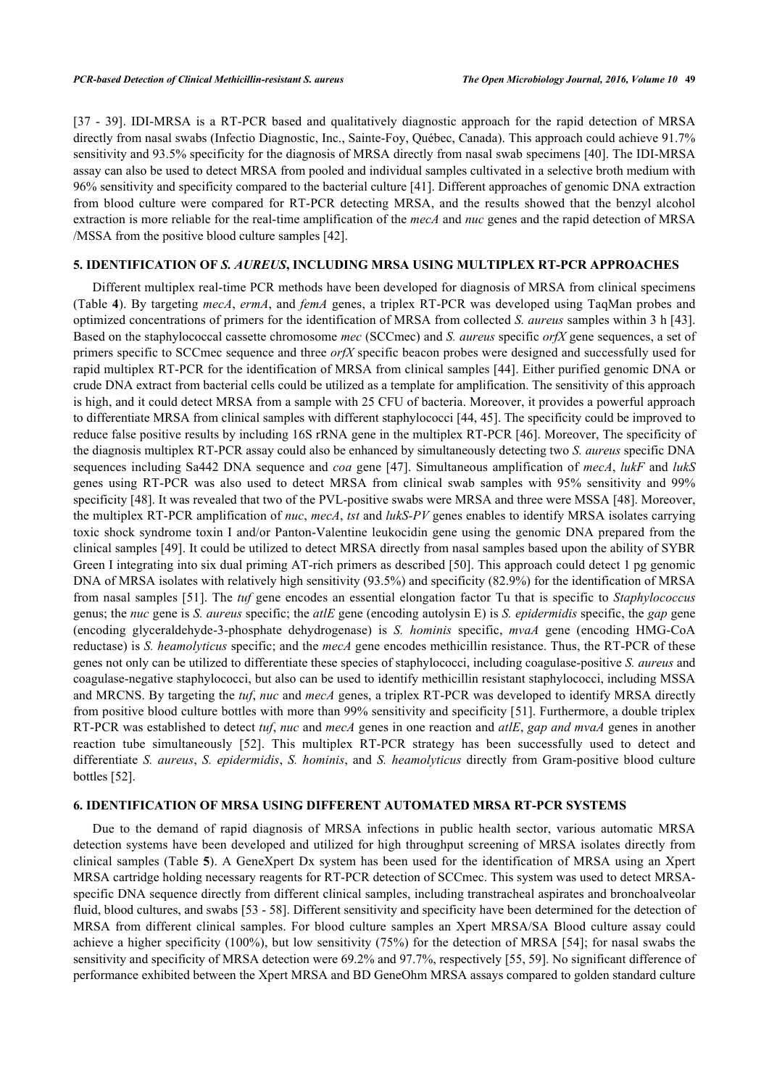[\[37](#page-8-9) - [39\]](#page-8-14). IDI-MRSA is a RT-PCR based and qualitatively diagnostic approach for the rapid detection of MRSA directly from nasal swabs (Infectio Diagnostic, Inc., Sainte-Foy, Québec, Canada). This approach could achieve 91.7% sensitivity and 93.5% specificity for the diagnosis of MRSA directly from nasal swab specimens [[40\]](#page-8-15). The IDI-MRSA assay can also be used to detect MRSA from pooled and individual samples cultivated in a selective broth medium with 96% sensitivity and specificity compared to the bacterial culture [[41\]](#page-8-16). Different approaches of genomic DNA extraction from blood culture were compared for RT-PCR detecting MRSA, and the results showed that the benzyl alcohol extraction is more reliable for the real-time amplification of the *mecA* and *nuc* genes and the rapid detection of MRSA /MSSA from the positive blood culture samples [[42\]](#page-9-0).

# **5. IDENTIFICATION OF** *S. AUREUS***, INCLUDING MRSA USING MULTIPLEX RT-PCR APPROACHES**

Different multiplex real-time PCR methods have been developed for diagnosis of MRSA from clinical specimens (Table **[4](#page-3-1)**). By targeting *mecA*, *ermA*, and *femA* genes, a triplex RT-PCR was developed using TaqMan probes and optimized concentrations of primers for the identification of MRSA from collected *S. aureus* samples within 3 h [[43\]](#page-9-5). Based on the staphylococcal cassette chromosome *mec* (SCCmec) and *S. aureus* specific *orfX* gene sequences, a set of primers specific to SCCmec sequence and three *orfX* specific beacon probes were designed and successfully used for rapid multiplex RT-PCR for the identification of MRSA from clinical samples [[44\]](#page-9-3). Either purified genomic DNA or crude DNA extract from bacterial cells could be utilized as a template for amplification. The sensitivity of this approach is high, and it could detect MRSA from a sample with 25 CFU of bacteria. Moreover, it provides a powerful approach to differentiate MRSA from clinical samples with different staphylococci [[44](#page-9-3), [45](#page-9-4)]. The specificity could be improved to reduce false positive results by including 16S rRNA gene in the multiplex RT-PCR [[46\]](#page-9-9). Moreover, The specificity of the diagnosis multiplex RT-PCR assay could also be enhanced by simultaneously detecting two *S. aureus* specific DNA sequences including Sa442 DNA sequence and *coa* gene [\[47\]](#page-9-6). Simultaneous amplification of *mecA*, *lukF* and *lukS* genes using RT-PCR was also used to detect MRSA from clinical swab samples with 95% sensitivity and 99% specificity [\[48](#page-9-1)]. It was revealed that two of the PVL-positive swabs were MRSA and three were MSSA [\[48](#page-9-1)]. Moreover, the multiplex RT-PCR amplification of *nuc*, *mecA*, *tst* and *lukS-PV* genes enables to identify MRSA isolates carrying toxic shock syndrome toxin I and/or Panton-Valentine leukocidin gene using the genomic DNA prepared from the clinical samples [[49\]](#page-9-10). It could be utilized to detect MRSA directly from nasal samples based upon the ability of SYBR Green I integrating into six dual priming AT-rich primers as described [[50](#page-9-2)]. This approach could detect 1 pg genomic DNA of MRSA isolates with relatively high sensitivity (93.5%) and specificity (82.9%) for the identification of MRSA from nasal samples [[51\]](#page-9-7). The *tuf* gene encodes an essential elongation factor Tu that is specific to *Staphylococcus* genus; the *nuc* gene is *S. aureus* specific; the *atlE* gene (encoding autolysin E) is *S. epidermidis* specific, the *gap* gene (encoding glyceraldehyde-3-phosphate dehydrogenase) is *S. hominis* specific, *mvaA* gene (encoding HMG-CoA reductase) is *S. heamolyticus* specific; and the *mecA* gene encodes methicillin resistance. Thus, the RT-PCR of these genes not only can be utilized to differentiate these species of staphylococci, including coagulase-positive *S. aureus* and coagulase-negative staphylococci, but also can be used to identify methicillin resistant staphylococci, including MSSA and MRCNS. By targeting the *tuf*, *nuc* and *mecA* genes, a triplex RT-PCR was developed to identify MRSA directly from positive blood culture bottles with more than 99% sensitivity and specificity [[51](#page-9-7)]. Furthermore, a double triplex RT-PCR was established to detect *tuf*, *nuc* and *mecA* genes in one reaction and *atlE*, *gap and mvaA* genes in another reaction tube simultaneously[[52](#page-9-8)]. This multiplex RT-PCR strategy has been successfully used to detect and differentiate *S. aureus*, *S. epidermidis*, *S. hominis*, and *S. heamolyticus* directly from Gram-positive blood culture bottles [\[52](#page-9-8)].

# **6. IDENTIFICATION OF MRSA USING DIFFERENT AUTOMATED MRSA RT-PCR SYSTEMS**

Due to the demand of rapid diagnosis of MRSA infections in public health sector, various automatic MRSA detection systems have been developed and utilized for high throughput screening of MRSA isolates directly from clinical samples (Table **[5](#page-5-0)**). A GeneXpert Dx system has been used for the identification of MRSA using an Xpert MRSA cartridge holding necessary reagents for RT-PCR detection of SCCmec. This system was used to detect MRSAspecific DNA sequence directly from different clinical samples, including transtracheal aspirates and bronchoalveolar fluid, blood cultures, and swabs [\[53](#page-9-11) - [58\]](#page-9-12). Different sensitivity and specificity have been determined for the detection of MRSA from different clinical samples. For blood culture samples an Xpert MRSA/SA Blood culture assay could achieve a higher specificity (100%), but low sensitivity (75%) for the detection of MRSA [[54\]](#page-9-13); for nasal swabs the sensitivity and specificity of MRSA detection were 69.2% and 97.7%, respectively [\[55](#page-9-14), [59](#page-10-4)]. No significant difference of performance exhibited between the Xpert MRSA and BD GeneOhm MRSA assays compared to golden standard culture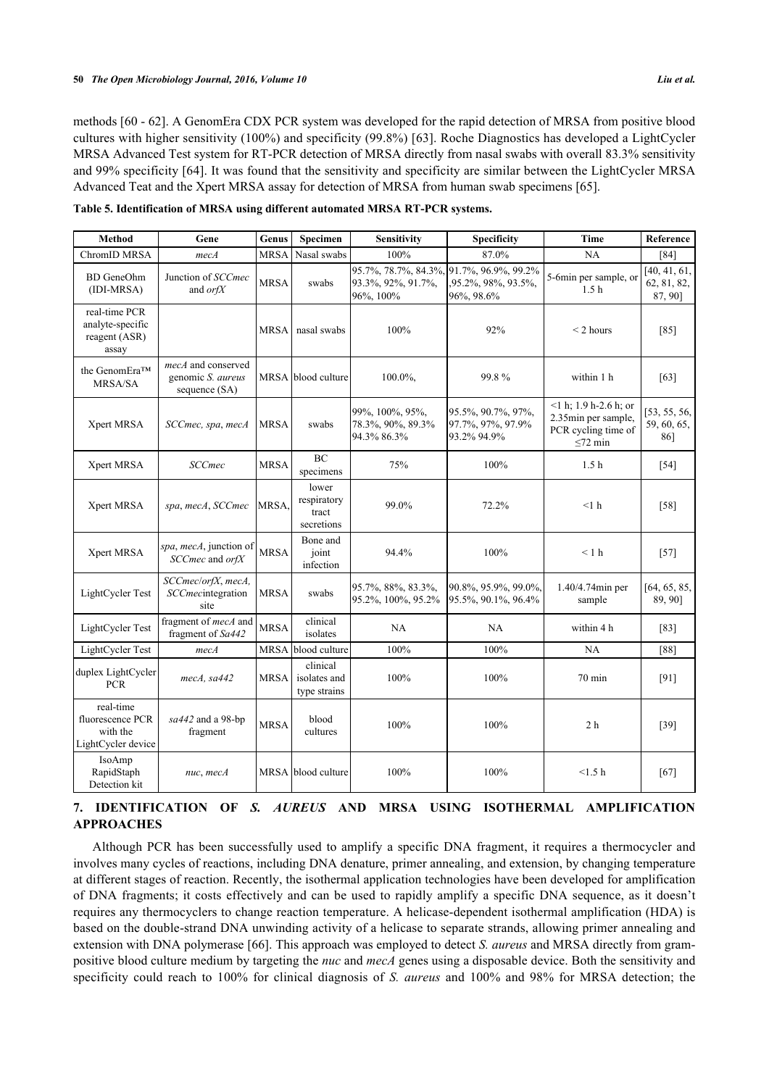methods [[60](#page-10-5) - [62\]](#page-10-6). A GenomEra CDX PCR system was developed for the rapid detection of MRSA from positive blood cultures with higher sensitivity (100%) and specificity (99.8%) [\[63](#page-10-0)]. Roche Diagnostics has developed a LightCycler MRSA Advanced Test system for RT-PCR detection of MRSA directly from nasal swabs with overall 83.3% sensitivity and 99% specificity [[64\]](#page-10-7). It was found that the sensitivity and specificity are similar between the LightCycler MRSA Advanced Teat and the Xpert MRSA assay for detection of MRSA from human swab specimens [\[65](#page-10-8)].

<span id="page-5-0"></span>

|  |  | Table 5. Identification of MRSA using different automated MRSA RT-PCR systems. |  |  |
|--|--|--------------------------------------------------------------------------------|--|--|
|  |  |                                                                                |  |  |

| Method                                                          | Gene                                                     | Genus       | Specimen                                    | <b>Sensitivity</b>                                      | <b>Specificity</b>                                      | <b>Time</b>                                                                            | Reference                              |
|-----------------------------------------------------------------|----------------------------------------------------------|-------------|---------------------------------------------|---------------------------------------------------------|---------------------------------------------------------|----------------------------------------------------------------------------------------|----------------------------------------|
| ChromID MRSA                                                    | mecA                                                     | <b>MRSA</b> | Nasal swabs                                 | 100%                                                    | 87.0%                                                   | NA                                                                                     | $[84]$                                 |
| <b>BD</b> GeneOhm<br>(IDI-MRSA)                                 | Junction of SCCmec<br>and $or f X$                       | <b>MRSA</b> | swabs                                       | 95.7%, 78.7%, 84.3%,<br>93.3%, 92%, 91.7%,<br>96%, 100% | 91.7%, 96.9%, 99.2%<br>95.2%, 98%, 93.5%,<br>96%, 98.6% | 5-6min per sample, or<br>1.5 <sub>h</sub>                                              | [40, 41, 61,<br>62, 81, 82,<br>87, 90] |
| real-time PCR<br>analyte-specific<br>reagent (ASR)<br>assay     |                                                          | <b>MRSA</b> | nasal swabs                                 | 100%                                                    | 92%                                                     | $<$ 2 hours                                                                            | $[85]$                                 |
| the GenomEra™<br><b>MRSA/SA</b>                                 | mecA and conserved<br>genomic S. aureus<br>sequence (SA) |             | MRSA blood culture                          | 100.0%,                                                 | 99.8%                                                   | within 1 h                                                                             | [63]                                   |
| Xpert MRSA                                                      | SCCmec, spa, mecA                                        | <b>MRSA</b> | swabs                                       | 99%, 100%, 95%,<br>78.3%, 90%, 89.3%<br>94.3% 86.3%     | 95.5%, 90.7%, 97%,<br>97.7%, 97%, 97.9%<br>93.2% 94.9%  | $1 h$ ; 1.9 h-2.6 h; or<br>2.35min per sample,<br>PCR cycling time of<br>$\leq$ 72 min | [53, 55, 56,<br>59, 60, 65,<br>86]     |
| Xpert MRSA                                                      | <b>SCCmec</b>                                            | <b>MRSA</b> | BC<br>specimens                             | 75%                                                     | 100%                                                    | 1.5 <sub>h</sub>                                                                       | $[54]$                                 |
| Xpert MRSA                                                      | spa, mecA, SCCmec                                        | <b>MRSA</b> | lower<br>respiratory<br>tract<br>secretions | 99.0%                                                   | 72.2%                                                   | $<1$ h                                                                                 | $[58]$                                 |
| Xpert MRSA                                                      | spa, mecA, junction of<br>SCCmec and orfX                | <b>MRSA</b> | Bone and<br>joint<br>infection              | 94.4%                                                   | 100%                                                    | < 1 h                                                                                  | $[57]$                                 |
| LightCycler Test                                                | SCCmec/orfX, mecA,<br><i>SCCmecintegration</i><br>site   | <b>MRSA</b> | swabs                                       | 95.7%, 88%, 83.3%,<br>95.2%, 100%, 95.2%                | 90.8%, 95.9%, 99.0%,<br>95.5%, 90.1%, 96.4%             | 1.40/4.74min per<br>sample                                                             | [64, 65, 85,<br>89, 90]                |
| LightCycler Test                                                | fragment of <i>mecA</i> and<br>fragment of Sa442         | <b>MRSA</b> | clinical<br>isolates                        | <b>NA</b>                                               | NA                                                      | within 4 h                                                                             | [83]                                   |
| LightCycler Test                                                | mecA                                                     | <b>MRSA</b> | blood culture                               | 100%                                                    | 100%                                                    | NA                                                                                     | $[88]$                                 |
| duplex LightCycler<br><b>PCR</b>                                | mecA, sa442                                              | <b>MRSA</b> | clinical<br>isolates and<br>type strains    | 100%                                                    | 100%                                                    | 70 min                                                                                 | $[91]$                                 |
| real-time<br>fluorescence PCR<br>with the<br>LightCycler device | sa442 and a 98-bp<br>fragment                            | <b>MRSA</b> | blood<br>cultures                           | 100%                                                    | 100%                                                    | 2 <sub>h</sub>                                                                         | $[39]$                                 |
| IsoAmp<br>RapidStaph<br>Detection kit                           | nuc, mecA                                                | MRSA        | blood culture                               | 100%                                                    | 100%                                                    | $<1.5~\mathrm{h}$                                                                      | [67]                                   |

# **7. IDENTIFICATION OF** *S. AUREUS* **AND MRSA USING ISOTHERMAL AMPLIFICATION APPROACHES**

Although PCR has been successfully used to amplify a specific DNA fragment, it requires a thermocycler and involves many cycles of reactions, including DNA denature, primer annealing, and extension, by changing temperature at different stages of reaction. Recently, the isothermal application technologies have been developed for amplification of DNA fragments; it costs effectively and can be used to rapidly amplify a specific DNA sequence, as it doesn't requires any thermocyclers to change reaction temperature. A helicase-dependent isothermal amplification (HDA) is based on the double-strand DNA unwinding activity of a helicase to separate strands, allowing primer annealing and extension with DNA polymerase [[66\]](#page-10-11). This approach was employed to detect *S. aureus* and MRSA directly from grampositive blood culture medium by targeting the *nuc* and *mecA* genes using a disposable device. Both the sensitivity and specificity could reach to 100% for clinical diagnosis of *S. aureus* and 100% and 98% for MRSA detection; the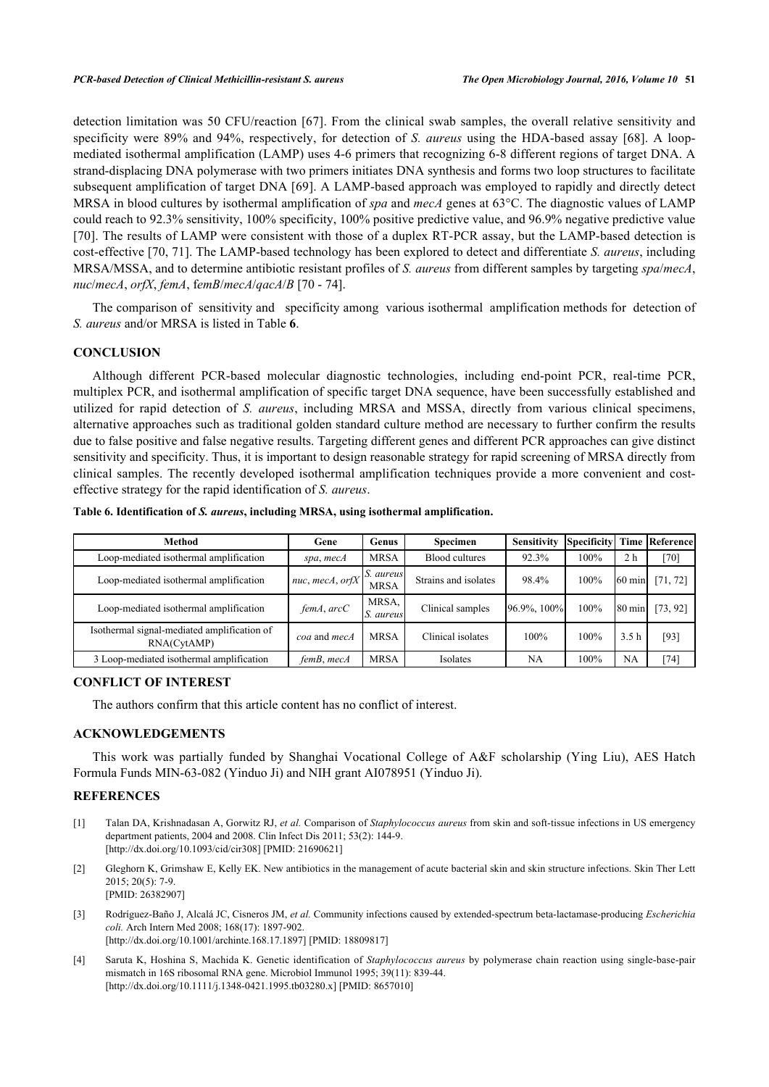detection limitation was 50 CFU/reaction [[67](#page-10-10)]. From the clinical swab samples, the overall relative sensitivity and specificity were 89% and 94%, respectively, for detection of *S. aureus* using the HDA-based assay [[68](#page-10-12)]. A loopmediated isothermal amplification (LAMP) uses 4-6 primers that recognizing 6-8 different regions of target DNA. A strand-displacing DNA polymerase with two primers initiates DNA synthesis and forms two loop structures to facilitate subsequent amplification of target DNA [[69](#page-10-13)]. A LAMP-based approach was employed to rapidly and directly detect MRSA in blood cultures by isothermal amplification of *spa* and *mecA* genes at 63°C. The diagnostic values of LAMP could reach to 92.3% sensitivity, 100% specificity, 100% positive predictive value, and 96.9% negative predictive value [\[70](#page-10-14)]. The results of LAMP were consistent with those of a duplex RT-PCR assay, but the LAMP-based detection is cost-effective [[70](#page-10-14)[, 71](#page-10-15)]. The LAMP-based technology has been explored to detect and differentiate *S. aureus*, including MRSA/MSSA, and to determine antibiotic resistant profiles of *S. aureus* from different samples by targeting *spa*/*mecA*, *nuc*/*mecA*, *orfX*, *femA*, f*emB*/*mecA*/*qacA*/*B* [[70](#page-10-14) - [74\]](#page-10-16).

The comparison of sensitivity and specificity among various isothermal amplification methods for detection of *S. aureus* and/or MRSA is listed in Table **[6](#page-6-4)**.

# **CONCLUSION**

Although different PCR-based molecular diagnostic technologies, including end-point PCR, real-time PCR, multiplex PCR, and isothermal amplification of specific target DNA sequence, have been successfully established and utilized for rapid detection of *S. aureus*, including MRSA and MSSA, directly from various clinical specimens, alternative approaches such as traditional golden standard culture method are necessary to further confirm the results due to false positive and false negative results. Targeting different genes and different PCR approaches can give distinct sensitivity and specificity. Thus, it is important to design reasonable strategy for rapid screening of MRSA directly from clinical samples. The recently developed isothermal amplification techniques provide a more convenient and costeffective strategy for the rapid identification of *S. aureus*.

| <b>Method</b>                                              | Gene            | Genus                    | Specimen              | <b>Sensitivity</b> | Specificity |                  | <b>Time Referencel</b> |
|------------------------------------------------------------|-----------------|--------------------------|-----------------------|--------------------|-------------|------------------|------------------------|
| Loop-mediated isothermal amplification                     | spa, mecA       | <b>MRSA</b>              | <b>Blood cultures</b> | 92.3%              | 100%        | 2 h              | $[70]$                 |
| Loop-mediated isothermal amplification                     | nuc, mecA, orfX | S. aureus<br><b>MRSA</b> | Strains and isolates  | 98.4%              | 100%        | $60 \text{ min}$ | [71, 72]               |
| Loop-mediated isothermal amplification                     | femA, arcC      | MRSA.<br><i>aureus</i>   | Clinical samples      | 96.9%, 100%        | 100%        | $80 \text{ min}$ | [73, 92]               |
| Isothermal signal-mediated amplification of<br>RNA(CytAMP) | coa and mecA    | <b>MRSA</b>              | Clinical isolates     | 100%               | 100%        | 3.5 <sub>h</sub> | [93]                   |
| 3 Loop-mediated isothermal amplification                   | femB, mecA      | MRSA                     | Isolates              | NA                 | 100%        | NA               | $[74]$                 |

<span id="page-6-4"></span>

| Table 6. Identification of S. aureus, including MRSA, using isothermal amplification. |  |  |  |
|---------------------------------------------------------------------------------------|--|--|--|
|                                                                                       |  |  |  |

#### **CONFLICT OF INTEREST**

The authors confirm that this article content has no conflict of interest.

## **ACKNOWLEDGEMENTS**

This work was partially funded by Shanghai Vocational College of A&F scholarship (Ying Liu), AES Hatch Formula Funds MIN-63-082 (Yinduo Ji) and NIH grant AI078951 (Yinduo Ji).

### **REFERENCES**

- <span id="page-6-0"></span>[1] Talan DA, Krishnadasan A, Gorwitz RJ, *et al.* Comparison of *Staphylococcus aureus* from skin and soft-tissue infections in US emergency department patients, 2004 and 2008. Clin Infect Dis 2011; 53(2): 144-9. [\[http://dx.doi.org/10.1093/cid/cir308](http://dx.doi.org/10.1093/cid/cir308)] [PMID: [21690621\]](http://www.ncbi.nlm.nih.gov/pubmed/21690621)
- <span id="page-6-1"></span>[2] Gleghorn K, Grimshaw E, Kelly EK. New antibiotics in the management of acute bacterial skin and skin structure infections. Skin Ther Lett 2015; 20(5): 7-9. [PMID: [26382907\]](http://www.ncbi.nlm.nih.gov/pubmed/26382907)
- <span id="page-6-2"></span>[3] Rodríguez-Baño J, Alcalá JC, Cisneros JM, *et al.* Community infections caused by extended-spectrum beta-lactamase-producing *Escherichia coli.* Arch Intern Med 2008; 168(17): 1897-902. [\[http://dx.doi.org/10.1001/archinte.168.17.1897\]](http://dx.doi.org/10.1001/archinte.168.17.1897) [PMID: [18809817](http://www.ncbi.nlm.nih.gov/pubmed/18809817)]
- <span id="page-6-3"></span>[4] Saruta K, Hoshina S, Machida K. Genetic identification of *Staphylococcus aureus* by polymerase chain reaction using single-base-pair mismatch in 16S ribosomal RNA gene. Microbiol Immunol 1995; 39(11): 839-44. [\[http://dx.doi.org/10.1111/j.1348-0421.1995.tb03280.x\]](http://dx.doi.org/10.1111/j.1348-0421.1995.tb03280.x) [PMID: [8657010](http://www.ncbi.nlm.nih.gov/pubmed/8657010)]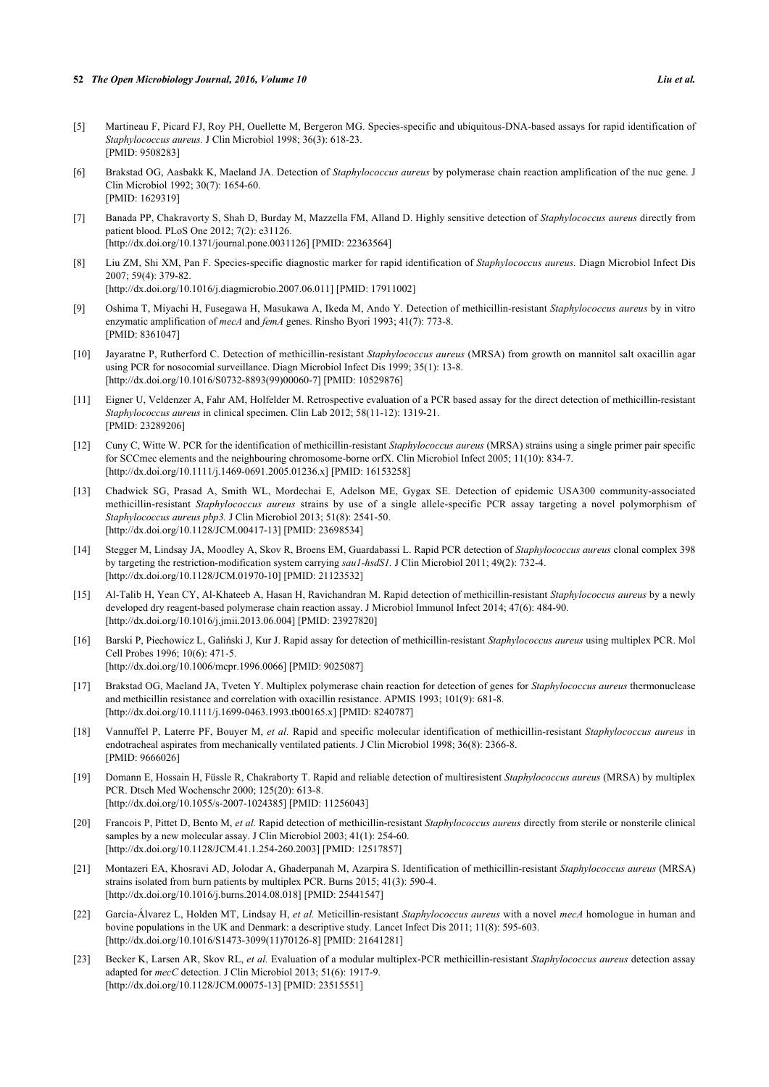#### **52** *The Open Microbiology Journal, 2016, Volume 10 Liu et al.*

- <span id="page-7-0"></span>[5] Martineau F, Picard FJ, Roy PH, Ouellette M, Bergeron MG. Species-specific and ubiquitous-DNA-based assays for rapid identification of *Staphylococcus aureus.* J Clin Microbiol 1998; 36(3): 618-23. [PMID: [9508283\]](http://www.ncbi.nlm.nih.gov/pubmed/9508283)
- <span id="page-7-1"></span>[6] Brakstad OG, Aasbakk K, Maeland JA. Detection of *Staphylococcus aureus* by polymerase chain reaction amplification of the nuc gene. J Clin Microbiol 1992; 30(7): 1654-60. [PMID: [1629319\]](http://www.ncbi.nlm.nih.gov/pubmed/1629319)
- <span id="page-7-2"></span>[7] Banada PP, Chakravorty S, Shah D, Burday M, Mazzella FM, Alland D. Highly sensitive detection of *Staphylococcus aureus* directly from patient blood. PLoS One 2012; 7(2): e31126. [\[http://dx.doi.org/10.1371/journal.pone.0031126](http://dx.doi.org/10.1371/journal.pone.0031126)] [PMID: [22363564\]](http://www.ncbi.nlm.nih.gov/pubmed/22363564)
- <span id="page-7-3"></span>[8] Liu ZM, Shi XM, Pan F. Species-specific diagnostic marker for rapid identification of *Staphylococcus aureus.* Diagn Microbiol Infect Dis 2007; 59(4): 379-82. [\[http://dx.doi.org/10.1016/j.diagmicrobio.2007.06.011\]](http://dx.doi.org/10.1016/j.diagmicrobio.2007.06.011) [PMID: [17911002](http://www.ncbi.nlm.nih.gov/pubmed/17911002)]
- <span id="page-7-8"></span>[9] Oshima T, Miyachi H, Fusegawa H, Masukawa A, Ikeda M, Ando Y. Detection of methicillin-resistant *Staphylococcus aureus* by in vitro enzymatic amplification of *mecA* and *femA* genes. Rinsho Byori 1993; 41(7): 773-8. [PMID: [8361047\]](http://www.ncbi.nlm.nih.gov/pubmed/8361047)
- <span id="page-7-4"></span>[10] Jayaratne P, Rutherford C. Detection of methicillin-resistant *Staphylococcus aureus* (MRSA) from growth on mannitol salt oxacillin agar using PCR for nosocomial surveillance. Diagn Microbiol Infect Dis 1999; 35(1): 13-8. [\[http://dx.doi.org/10.1016/S0732-8893\(99\)00060-7\]](http://dx.doi.org/10.1016/S0732-8893(99)00060-7) [PMID: [10529876](http://www.ncbi.nlm.nih.gov/pubmed/10529876)]
- <span id="page-7-9"></span>[11] Eigner U, Veldenzer A, Fahr AM, Holfelder M. Retrospective evaluation of a PCR based assay for the direct detection of methicillin-resistant *Staphylococcus aureus* in clinical specimen. Clin Lab 2012; 58(11-12): 1319-21. [PMID: [23289206\]](http://www.ncbi.nlm.nih.gov/pubmed/23289206)
- <span id="page-7-10"></span>[12] Cuny C, Witte W. PCR for the identification of methicillin-resistant *Staphylococcus aureus* (MRSA) strains using a single primer pair specific for SCCmec elements and the neighbouring chromosome-borne orfX. Clin Microbiol Infect 2005; 11(10): 834-7. [\[http://dx.doi.org/10.1111/j.1469-0691.2005.01236.x\]](http://dx.doi.org/10.1111/j.1469-0691.2005.01236.x) [PMID: [16153258](http://www.ncbi.nlm.nih.gov/pubmed/16153258)]
- <span id="page-7-11"></span>[13] Chadwick SG, Prasad A, Smith WL, Mordechai E, Adelson ME, Gygax SE. Detection of epidemic USA300 community-associated methicillin-resistant *Staphylococcus aureus* strains by use of a single allele-specific PCR assay targeting a novel polymorphism of *Staphylococcus aureus pbp3.* J Clin Microbiol 2013; 51(8): 2541-50. [\[http://dx.doi.org/10.1128/JCM.00417-13](http://dx.doi.org/10.1128/JCM.00417-13)] [PMID: [23698534\]](http://www.ncbi.nlm.nih.gov/pubmed/23698534)
- <span id="page-7-5"></span>[14] Stegger M, Lindsay JA, Moodley A, Skov R, Broens EM, Guardabassi L. Rapid PCR detection of *Staphylococcus aureus* clonal complex 398 by targeting the restriction-modification system carrying *sau1-hsdS1.* J Clin Microbiol 2011; 49(2): 732-4. [\[http://dx.doi.org/10.1128/JCM.01970-10](http://dx.doi.org/10.1128/JCM.01970-10)] [PMID: [21123532\]](http://www.ncbi.nlm.nih.gov/pubmed/21123532)
- <span id="page-7-6"></span>[15] Al-Talib H, Yean CY, Al-Khateeb A, Hasan H, Ravichandran M. Rapid detection of methicillin-resistant *Staphylococcus aureus* by a newly developed dry reagent-based polymerase chain reaction assay. J Microbiol Immunol Infect 2014; 47(6): 484-90. [\[http://dx.doi.org/10.1016/j.jmii.2013.06.004\]](http://dx.doi.org/10.1016/j.jmii.2013.06.004) [PMID: [23927820](http://www.ncbi.nlm.nih.gov/pubmed/23927820)]
- <span id="page-7-12"></span>[16] Barski P, Piechowicz L, Galiński J, Kur J. Rapid assay for detection of methicillin-resistant *Staphylococcus aureus* using multiplex PCR. Mol Cell Probes 1996; 10(6): 471-5. [\[http://dx.doi.org/10.1006/mcpr.1996.0066](http://dx.doi.org/10.1006/mcpr.1996.0066)] [PMID: [9025087\]](http://www.ncbi.nlm.nih.gov/pubmed/9025087)
- <span id="page-7-13"></span>[17] Brakstad OG, Maeland JA, Tveten Y. Multiplex polymerase chain reaction for detection of genes for *Staphylococcus aureus* thermonuclease and methicillin resistance and correlation with oxacillin resistance. APMIS 1993; 101(9): 681-8. [\[http://dx.doi.org/10.1111/j.1699-0463.1993.tb00165.x\]](http://dx.doi.org/10.1111/j.1699-0463.1993.tb00165.x) [PMID: [8240787](http://www.ncbi.nlm.nih.gov/pubmed/8240787)]
- <span id="page-7-14"></span>[18] Vannuffel P, Laterre PF, Bouyer M, *et al.* Rapid and specific molecular identification of methicillin-resistant *Staphylococcus aureus* in endotracheal aspirates from mechanically ventilated patients. J Clin Microbiol 1998; 36(8): 2366-8. [PMID: [9666026\]](http://www.ncbi.nlm.nih.gov/pubmed/9666026)
- <span id="page-7-18"></span>[19] Domann E, Hossain H, Füssle R, Chakraborty T. Rapid and reliable detection of multiresistent *Staphylococcus aureus* (MRSA) by multiplex PCR. Dtsch Med Wochenschr 2000; 125(20): 613-8. [\[http://dx.doi.org/10.1055/s-2007-1024385](http://dx.doi.org/10.1055/s-2007-1024385)] [PMID: [11256043\]](http://www.ncbi.nlm.nih.gov/pubmed/11256043)
- <span id="page-7-15"></span>[20] Francois P, Pittet D, Bento M, *et al.* Rapid detection of methicillin-resistant *Staphylococcus aureus* directly from sterile or nonsterile clinical samples by a new molecular assay. J Clin Microbiol 2003; 41(1): 254-60. [\[http://dx.doi.org/10.1128/JCM.41.1.254-260.2003](http://dx.doi.org/10.1128/JCM.41.1.254-260.2003)] [PMID: [12517857\]](http://www.ncbi.nlm.nih.gov/pubmed/12517857)
- <span id="page-7-16"></span>[21] Montazeri EA, Khosravi AD, Jolodar A, Ghaderpanah M, Azarpira S. Identification of methicillin-resistant *Staphylococcus aureus* (MRSA) strains isolated from burn patients by multiplex PCR. Burns 2015; 41(3): 590-4. [\[http://dx.doi.org/10.1016/j.burns.2014.08.018\]](http://dx.doi.org/10.1016/j.burns.2014.08.018) [PMID: [25441547](http://www.ncbi.nlm.nih.gov/pubmed/25441547)]
- <span id="page-7-7"></span>[22] García-Álvarez L, Holden MT, Lindsay H, *et al.* Meticillin-resistant *Staphylococcus aureus* with a novel *mecA* homologue in human and bovine populations in the UK and Denmark: a descriptive study. Lancet Infect Dis 2011; 11(8): 595-603. [\[http://dx.doi.org/10.1016/S1473-3099\(11\)70126-8\]](http://dx.doi.org/10.1016/S1473-3099(11)70126-8) [PMID: [21641281](http://www.ncbi.nlm.nih.gov/pubmed/21641281)]
- <span id="page-7-17"></span>[23] Becker K, Larsen AR, Skov RL, *et al.* Evaluation of a modular multiplex-PCR methicillin-resistant *Staphylococcus aureus* detection assay adapted for *mecC* detection. J Clin Microbiol 2013; 51(6): 1917-9. [\[http://dx.doi.org/10.1128/JCM.00075-13](http://dx.doi.org/10.1128/JCM.00075-13)] [PMID: [23515551\]](http://www.ncbi.nlm.nih.gov/pubmed/23515551)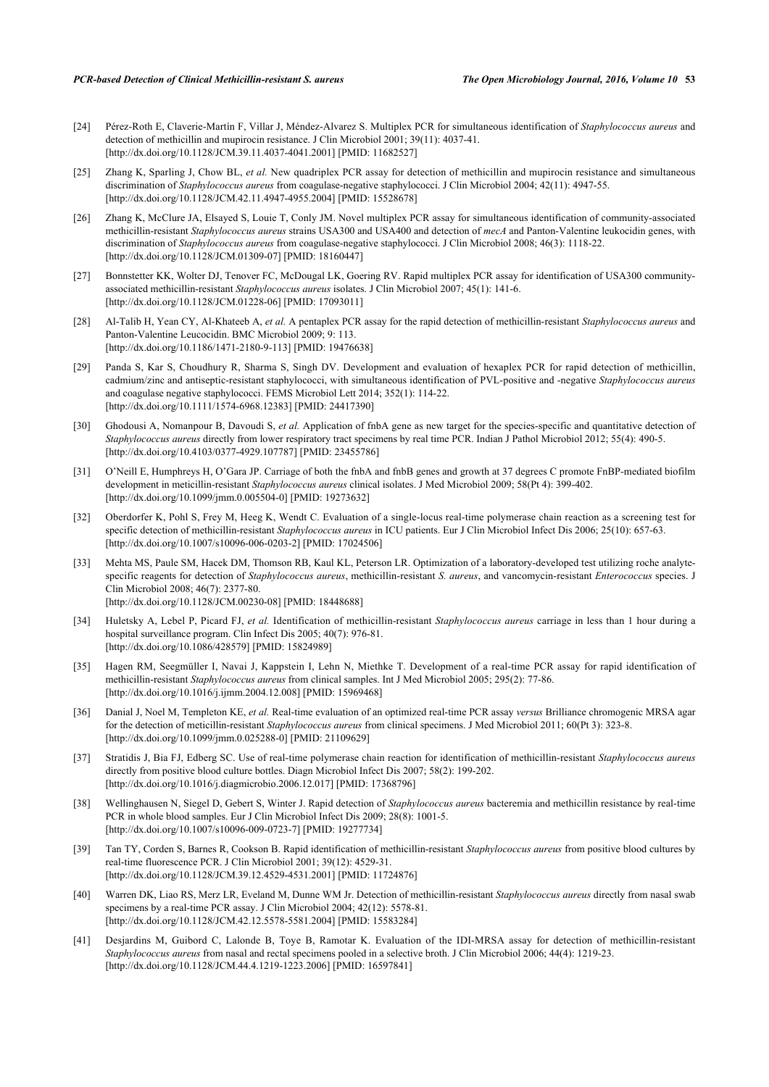- <span id="page-8-1"></span>[24] Pérez-Roth E, Claverie-Martín F, Villar J, Méndez-Alvarez S. Multiplex PCR for simultaneous identification of *Staphylococcus aureus* and detection of methicillin and mupirocin resistance. J Clin Microbiol 2001; 39(11): 4037-41. [\[http://dx.doi.org/10.1128/JCM.39.11.4037-4041.2001](http://dx.doi.org/10.1128/JCM.39.11.4037-4041.2001)] [PMID: [11682527\]](http://www.ncbi.nlm.nih.gov/pubmed/11682527)
- <span id="page-8-0"></span>[25] Zhang K, Sparling J, Chow BL, *et al.* New quadriplex PCR assay for detection of methicillin and mupirocin resistance and simultaneous discrimination of *Staphylococcus aureus* from coagulase-negative staphylococci. J Clin Microbiol 2004; 42(11): 4947-55. [\[http://dx.doi.org/10.1128/JCM.42.11.4947-4955.2004](http://dx.doi.org/10.1128/JCM.42.11.4947-4955.2004)] [PMID: [15528678\]](http://www.ncbi.nlm.nih.gov/pubmed/15528678)
- <span id="page-8-2"></span>[26] Zhang K, McClure JA, Elsayed S, Louie T, Conly JM. Novel multiplex PCR assay for simultaneous identification of community-associated methicillin-resistant *Staphylococcus aureus* strains USA300 and USA400 and detection of *mecA* and Panton-Valentine leukocidin genes, with discrimination of *Staphylococcus aureus* from coagulase-negative staphylococci. J Clin Microbiol 2008; 46(3): 1118-22. [\[http://dx.doi.org/10.1128/JCM.01309-07](http://dx.doi.org/10.1128/JCM.01309-07)] [PMID: [18160447\]](http://www.ncbi.nlm.nih.gov/pubmed/18160447)
- <span id="page-8-3"></span>[27] Bonnstetter KK, Wolter DJ, Tenover FC, McDougal LK, Goering RV. Rapid multiplex PCR assay for identification of USA300 communityassociated methicillin-resistant *Staphylococcus aureus* isolates. J Clin Microbiol 2007; 45(1): 141-6. [\[http://dx.doi.org/10.1128/JCM.01228-06](http://dx.doi.org/10.1128/JCM.01228-06)] [PMID: [17093011\]](http://www.ncbi.nlm.nih.gov/pubmed/17093011)
- <span id="page-8-4"></span>[28] Al-Talib H, Yean CY, Al-Khateeb A, *et al.* A pentaplex PCR assay for the rapid detection of methicillin-resistant *Staphylococcus aureus* and Panton-Valentine Leucocidin. BMC Microbiol 2009; 9: 113. [\[http://dx.doi.org/10.1186/1471-2180-9-113\]](http://dx.doi.org/10.1186/1471-2180-9-113) [PMID: [19476638](http://www.ncbi.nlm.nih.gov/pubmed/19476638)]
- <span id="page-8-5"></span>[29] Panda S, Kar S, Choudhury R, Sharma S, Singh DV. Development and evaluation of hexaplex PCR for rapid detection of methicillin, cadmium/zinc and antiseptic-resistant staphylococci, with simultaneous identification of PVL-positive and -negative *Staphylococcus aureus* and coagulase negative staphylococci. FEMS Microbiol Lett 2014; 352(1): 114-22. [\[http://dx.doi.org/10.1111/1574-6968.12383](http://dx.doi.org/10.1111/1574-6968.12383)] [PMID: [24417390](http://www.ncbi.nlm.nih.gov/pubmed/24417390)]
- <span id="page-8-7"></span>[30] Ghodousi A, Nomanpour B, Davoudi S, *et al.* Application of fnbA gene as new target for the species-specific and quantitative detection of *Staphylococcus aureus* directly from lower respiratory tract specimens by real time PCR. Indian J Pathol Microbiol 2012; 55(4): 490-5. [\[http://dx.doi.org/10.4103/0377-4929.107787](http://dx.doi.org/10.4103/0377-4929.107787)] [PMID: [23455786](http://www.ncbi.nlm.nih.gov/pubmed/23455786)]
- <span id="page-8-13"></span>[31] O'Neill E, Humphreys H, O'Gara JP. Carriage of both the fnbA and fnbB genes and growth at 37 degrees C promote FnBP-mediated biofilm development in meticillin-resistant *Staphylococcus aureus* clinical isolates. J Med Microbiol 2009; 58(Pt 4): 399-402. [\[http://dx.doi.org/10.1099/jmm.0.005504-0](http://dx.doi.org/10.1099/jmm.0.005504-0)] [PMID: [19273632\]](http://www.ncbi.nlm.nih.gov/pubmed/19273632)
- <span id="page-8-6"></span>[32] Oberdorfer K, Pohl S, Frey M, Heeg K, Wendt C. Evaluation of a single-locus real-time polymerase chain reaction as a screening test for specific detection of methicillin-resistant *Staphylococcus aureus* in ICU patients. Eur J Clin Microbiol Infect Dis 2006; 25(10): 657-63. [\[http://dx.doi.org/10.1007/s10096-006-0203-2\]](http://dx.doi.org/10.1007/s10096-006-0203-2) [PMID: [17024506](http://www.ncbi.nlm.nih.gov/pubmed/17024506)]
- <span id="page-8-8"></span>[33] Mehta MS, Paule SM, Hacek DM, Thomson RB, Kaul KL, Peterson LR. Optimization of a laboratory-developed test utilizing roche analytespecific reagents for detection of *Staphylococcus aureus*, methicillin-resistant *S. aureus*, and vancomycin-resistant *Enterococcus* species. J Clin Microbiol 2008; 46(7): 2377-80. [\[http://dx.doi.org/10.1128/JCM.00230-08](http://dx.doi.org/10.1128/JCM.00230-08)] [PMID: [18448688\]](http://www.ncbi.nlm.nih.gov/pubmed/18448688)
- <span id="page-8-10"></span>[34] Huletsky A, Lebel P, Picard FJ, *et al.* Identification of methicillin-resistant *Staphylococcus aureus* carriage in less than 1 hour during a hospital surveillance program. Clin Infect Dis 2005; 40(7): 976-81. [\[http://dx.doi.org/10.1086/428579\]](http://dx.doi.org/10.1086/428579) [PMID: [15824989](http://www.ncbi.nlm.nih.gov/pubmed/15824989)]
- <span id="page-8-11"></span>[35] Hagen RM, Seegmüller I, Navai J, Kappstein I, Lehn N, Miethke T. Development of a real-time PCR assay for rapid identification of methicillin-resistant *Staphylococcus aureus* from clinical samples. Int J Med Microbiol 2005; 295(2): 77-86. [\[http://dx.doi.org/10.1016/j.ijmm.2004.12.008\]](http://dx.doi.org/10.1016/j.ijmm.2004.12.008) [PMID: [15969468](http://www.ncbi.nlm.nih.gov/pubmed/15969468)]
- <span id="page-8-12"></span>[36] Danial J, Noel M, Templeton KE, *et al.* Real-time evaluation of an optimized real-time PCR assay *versus* Brilliance chromogenic MRSA agar for the detection of meticillin-resistant *Staphylococcus aureus* from clinical specimens. J Med Microbiol 2011; 60(Pt 3): 323-8. [\[http://dx.doi.org/10.1099/jmm.0.025288-0](http://dx.doi.org/10.1099/jmm.0.025288-0)] [PMID: [21109629\]](http://www.ncbi.nlm.nih.gov/pubmed/21109629)
- <span id="page-8-9"></span>[37] Stratidis J, Bia FJ, Edberg SC. Use of real-time polymerase chain reaction for identification of methicillin-resistant *Staphylococcus aureus* directly from positive blood culture bottles. Diagn Microbiol Infect Dis 2007; 58(2): 199-202. [\[http://dx.doi.org/10.1016/j.diagmicrobio.2006.12.017\]](http://dx.doi.org/10.1016/j.diagmicrobio.2006.12.017) [PMID: [17368796](http://www.ncbi.nlm.nih.gov/pubmed/17368796)]
- [38] Wellinghausen N, Siegel D, Gebert S, Winter J. Rapid detection of *Staphylococcus aureus* bacteremia and methicillin resistance by real-time PCR in whole blood samples. Eur J Clin Microbiol Infect Dis 2009; 28(8): 1001-5. [\[http://dx.doi.org/10.1007/s10096-009-0723-7\]](http://dx.doi.org/10.1007/s10096-009-0723-7) [PMID: [19277734](http://www.ncbi.nlm.nih.gov/pubmed/19277734)]
- <span id="page-8-14"></span>[39] Tan TY, Corden S, Barnes R, Cookson B. Rapid identification of methicillin-resistant *Staphylococcus aureus* from positive blood cultures by real-time fluorescence PCR. J Clin Microbiol 2001; 39(12): 4529-31. [\[http://dx.doi.org/10.1128/JCM.39.12.4529-4531.2001](http://dx.doi.org/10.1128/JCM.39.12.4529-4531.2001)] [PMID: [11724876\]](http://www.ncbi.nlm.nih.gov/pubmed/11724876)
- <span id="page-8-15"></span>[40] Warren DK, Liao RS, Merz LR, Eveland M, Dunne WM Jr. Detection of methicillin-resistant *Staphylococcus aureus* directly from nasal swab specimens by a real-time PCR assay. J Clin Microbiol 2004; 42(12): 5578-81. [\[http://dx.doi.org/10.1128/JCM.42.12.5578-5581.2004](http://dx.doi.org/10.1128/JCM.42.12.5578-5581.2004)] [PMID: [15583284\]](http://www.ncbi.nlm.nih.gov/pubmed/15583284)
- <span id="page-8-16"></span>[41] Desjardins M, Guibord C, Lalonde B, Toye B, Ramotar K. Evaluation of the IDI-MRSA assay for detection of methicillin-resistant *Staphylococcus aureus* from nasal and rectal specimens pooled in a selective broth. J Clin Microbiol 2006; 44(4): 1219-23. [\[http://dx.doi.org/10.1128/JCM.44.4.1219-1223.2006](http://dx.doi.org/10.1128/JCM.44.4.1219-1223.2006)] [PMID: [16597841\]](http://www.ncbi.nlm.nih.gov/pubmed/16597841)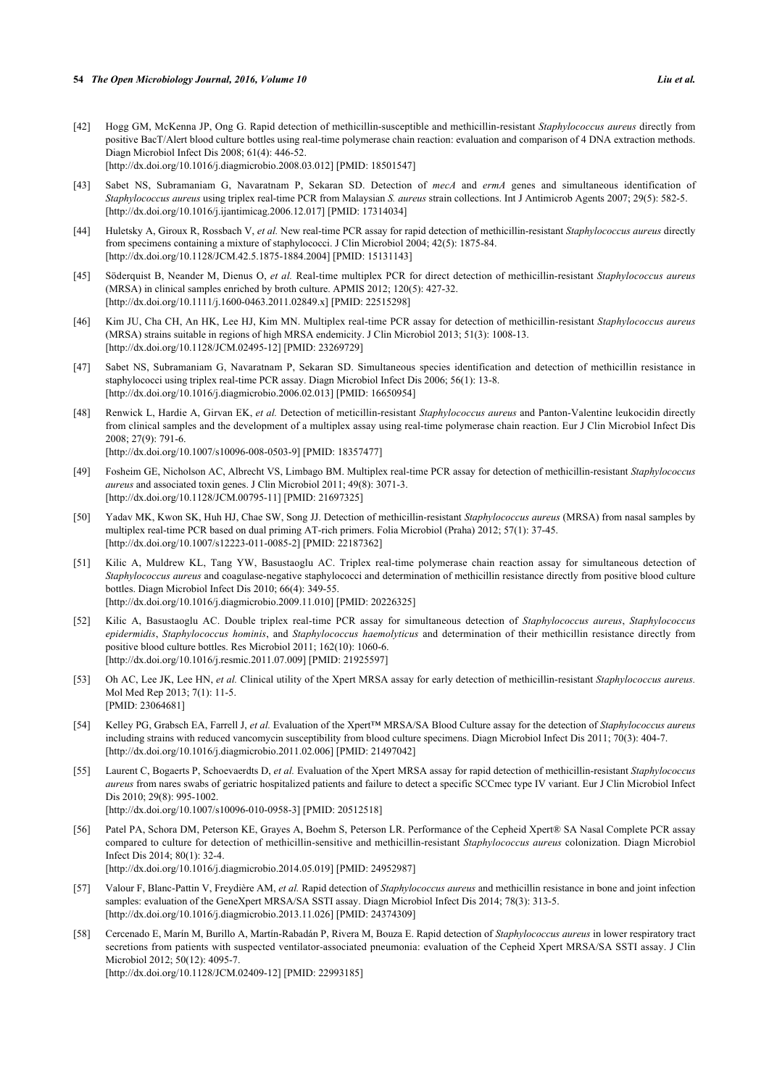- <span id="page-9-0"></span>[42] Hogg GM, McKenna JP, Ong G. Rapid detection of methicillin-susceptible and methicillin-resistant *Staphylococcus aureus* directly from positive BacT/Alert blood culture bottles using real-time polymerase chain reaction: evaluation and comparison of 4 DNA extraction methods. Diagn Microbiol Infect Dis 2008; 61(4): 446-52. [\[http://dx.doi.org/10.1016/j.diagmicrobio.2008.03.012\]](http://dx.doi.org/10.1016/j.diagmicrobio.2008.03.012) [PMID: [18501547](http://www.ncbi.nlm.nih.gov/pubmed/18501547)]
- <span id="page-9-5"></span>[43] Sabet NS, Subramaniam G, Navaratnam P, Sekaran SD. Detection of *mecA* and *ermA* genes and simultaneous identification of *Staphylococcus aureus* using triplex real-time PCR from Malaysian *S. aureus* strain collections. Int J Antimicrob Agents 2007; 29(5): 582-5. [\[http://dx.doi.org/10.1016/j.ijantimicag.2006.12.017](http://dx.doi.org/10.1016/j.ijantimicag.2006.12.017)] [PMID: [17314034\]](http://www.ncbi.nlm.nih.gov/pubmed/17314034)
- <span id="page-9-3"></span>[44] Huletsky A, Giroux R, Rossbach V, *et al.* New real-time PCR assay for rapid detection of methicillin-resistant *Staphylococcus aureus* directly from specimens containing a mixture of staphylococci. J Clin Microbiol 2004; 42(5): 1875-84. [\[http://dx.doi.org/10.1128/JCM.42.5.1875-1884.2004](http://dx.doi.org/10.1128/JCM.42.5.1875-1884.2004)] [PMID: [15131143\]](http://www.ncbi.nlm.nih.gov/pubmed/15131143)
- <span id="page-9-4"></span>[45] Söderquist B, Neander M, Dienus O, *et al.* Real-time multiplex PCR for direct detection of methicillin-resistant *Staphylococcus aureus* (MRSA) in clinical samples enriched by broth culture. APMIS 2012; 120(5): 427-32. [\[http://dx.doi.org/10.1111/j.1600-0463.2011.02849.x\]](http://dx.doi.org/10.1111/j.1600-0463.2011.02849.x) [PMID: [22515298](http://www.ncbi.nlm.nih.gov/pubmed/22515298)]
- <span id="page-9-9"></span>[46] Kim JU, Cha CH, An HK, Lee HJ, Kim MN. Multiplex real-time PCR assay for detection of methicillin-resistant *Staphylococcus aureus* (MRSA) strains suitable in regions of high MRSA endemicity. J Clin Microbiol 2013; 51(3): 1008-13. [\[http://dx.doi.org/10.1128/JCM.02495-12](http://dx.doi.org/10.1128/JCM.02495-12)] [PMID: [23269729\]](http://www.ncbi.nlm.nih.gov/pubmed/23269729)
- <span id="page-9-6"></span>[47] Sabet NS, Subramaniam G, Navaratnam P, Sekaran SD. Simultaneous species identification and detection of methicillin resistance in staphylococci using triplex real-time PCR assay. Diagn Microbiol Infect Dis 2006; 56(1): 13-8. [\[http://dx.doi.org/10.1016/j.diagmicrobio.2006.02.013\]](http://dx.doi.org/10.1016/j.diagmicrobio.2006.02.013) [PMID: [16650954](http://www.ncbi.nlm.nih.gov/pubmed/16650954)]
- <span id="page-9-1"></span>[48] Renwick L, Hardie A, Girvan EK, *et al.* Detection of meticillin-resistant *Staphylococcus aureus* and Panton-Valentine leukocidin directly from clinical samples and the development of a multiplex assay using real-time polymerase chain reaction. Eur J Clin Microbiol Infect Dis 2008; 27(9): 791-6. [\[http://dx.doi.org/10.1007/s10096-008-0503-9\]](http://dx.doi.org/10.1007/s10096-008-0503-9) [PMID: [18357477](http://www.ncbi.nlm.nih.gov/pubmed/18357477)]
- <span id="page-9-10"></span>[49] Fosheim GE, Nicholson AC, Albrecht VS, Limbago BM. Multiplex real-time PCR assay for detection of methicillin-resistant *Staphylococcus aureus* and associated toxin genes. J Clin Microbiol 2011; 49(8): 3071-3. [\[http://dx.doi.org/10.1128/JCM.00795-11](http://dx.doi.org/10.1128/JCM.00795-11)] [PMID: [21697325\]](http://www.ncbi.nlm.nih.gov/pubmed/21697325)
- <span id="page-9-2"></span>[50] Yadav MK, Kwon SK, Huh HJ, Chae SW, Song JJ. Detection of methicillin-resistant *Staphylococcus aureus* (MRSA) from nasal samples by multiplex real-time PCR based on dual priming AT-rich primers. Folia Microbiol (Praha) 2012; 57(1): 37-45. [\[http://dx.doi.org/10.1007/s12223-011-0085-2\]](http://dx.doi.org/10.1007/s12223-011-0085-2) [PMID: [22187362](http://www.ncbi.nlm.nih.gov/pubmed/22187362)]
- <span id="page-9-7"></span>[51] Kilic A, Muldrew KL, Tang YW, Basustaoglu AC. Triplex real-time polymerase chain reaction assay for simultaneous detection of *Staphylococcus aureus* and coagulase-negative staphylococci and determination of methicillin resistance directly from positive blood culture bottles. Diagn Microbiol Infect Dis 2010; 66(4): 349-55. [\[http://dx.doi.org/10.1016/j.diagmicrobio.2009.11.010\]](http://dx.doi.org/10.1016/j.diagmicrobio.2009.11.010) [PMID: [20226325](http://www.ncbi.nlm.nih.gov/pubmed/20226325)]
- <span id="page-9-8"></span>[52] Kilic A, Basustaoglu AC. Double triplex real-time PCR assay for simultaneous detection of *Staphylococcus aureus*, *Staphylococcus epidermidis*, *Staphylococcus hominis*, and *Staphylococcus haemolyticus* and determination of their methicillin resistance directly from positive blood culture bottles. Res Microbiol 2011; 162(10): 1060-6. [\[http://dx.doi.org/10.1016/j.resmic.2011.07.009](http://dx.doi.org/10.1016/j.resmic.2011.07.009)] [PMID: [21925597\]](http://www.ncbi.nlm.nih.gov/pubmed/21925597)
- <span id="page-9-11"></span>[53] Oh AC, Lee JK, Lee HN, *et al.* Clinical utility of the Xpert MRSA assay for early detection of methicillin-resistant *Staphylococcus aureus.* Mol Med Rep 2013; 7(1): 11-5. [PMID: [23064681\]](http://www.ncbi.nlm.nih.gov/pubmed/23064681)
- <span id="page-9-13"></span>[54] Kelley PG, Grabsch EA, Farrell J, *et al.* Evaluation of the Xpert™ MRSA/SA Blood Culture assay for the detection of *Staphylococcus aureus* including strains with reduced vancomycin susceptibility from blood culture specimens. Diagn Microbiol Infect Dis 2011; 70(3): 404-7. [\[http://dx.doi.org/10.1016/j.diagmicrobio.2011.02.006\]](http://dx.doi.org/10.1016/j.diagmicrobio.2011.02.006) [PMID: [21497042](http://www.ncbi.nlm.nih.gov/pubmed/21497042)]
- <span id="page-9-14"></span>[55] Laurent C, Bogaerts P, Schoevaerdts D, *et al.* Evaluation of the Xpert MRSA assay for rapid detection of methicillin-resistant *Staphylococcus aureus* from nares swabs of geriatric hospitalized patients and failure to detect a specific SCCmec type IV variant. Eur J Clin Microbiol Infect Dis 2010; 29(8): 995-1002. [\[http://dx.doi.org/10.1007/s10096-010-0958-3\]](http://dx.doi.org/10.1007/s10096-010-0958-3) [PMID: [20512518](http://www.ncbi.nlm.nih.gov/pubmed/20512518)]
- <span id="page-9-15"></span>[56] Patel PA, Schora DM, Peterson KE, Grayes A, Boehm S, Peterson LR. Performance of the Cepheid Xpert® SA Nasal Complete PCR assay compared to culture for detection of methicillin-sensitive and methicillin-resistant *Staphylococcus aureus* colonization. Diagn Microbiol Infect Dis 2014; 80(1): 32-4. [\[http://dx.doi.org/10.1016/j.diagmicrobio.2014.05.019\]](http://dx.doi.org/10.1016/j.diagmicrobio.2014.05.019) [PMID: [24952987](http://www.ncbi.nlm.nih.gov/pubmed/24952987)]
- <span id="page-9-16"></span>[57] Valour F, Blanc-Pattin V, Freydière AM, *et al.* Rapid detection of *Staphylococcus aureus* and methicillin resistance in bone and joint infection samples: evaluation of the GeneXpert MRSA/SA SSTI assay. Diagn Microbiol Infect Dis 2014; 78(3): 313-5. [\[http://dx.doi.org/10.1016/j.diagmicrobio.2013.11.026\]](http://dx.doi.org/10.1016/j.diagmicrobio.2013.11.026) [PMID: [24374309](http://www.ncbi.nlm.nih.gov/pubmed/24374309)]
- <span id="page-9-12"></span>[58] Cercenado E, Marín M, Burillo A, Martín-Rabadán P, Rivera M, Bouza E. Rapid detection of *Staphylococcus aureus* in lower respiratory tract secretions from patients with suspected ventilator-associated pneumonia: evaluation of the Cepheid Xpert MRSA/SA SSTI assay. J Clin Microbiol 2012; 50(12): 4095-7. [\[http://dx.doi.org/10.1128/JCM.02409-12](http://dx.doi.org/10.1128/JCM.02409-12)] [PMID: [22993185\]](http://www.ncbi.nlm.nih.gov/pubmed/22993185)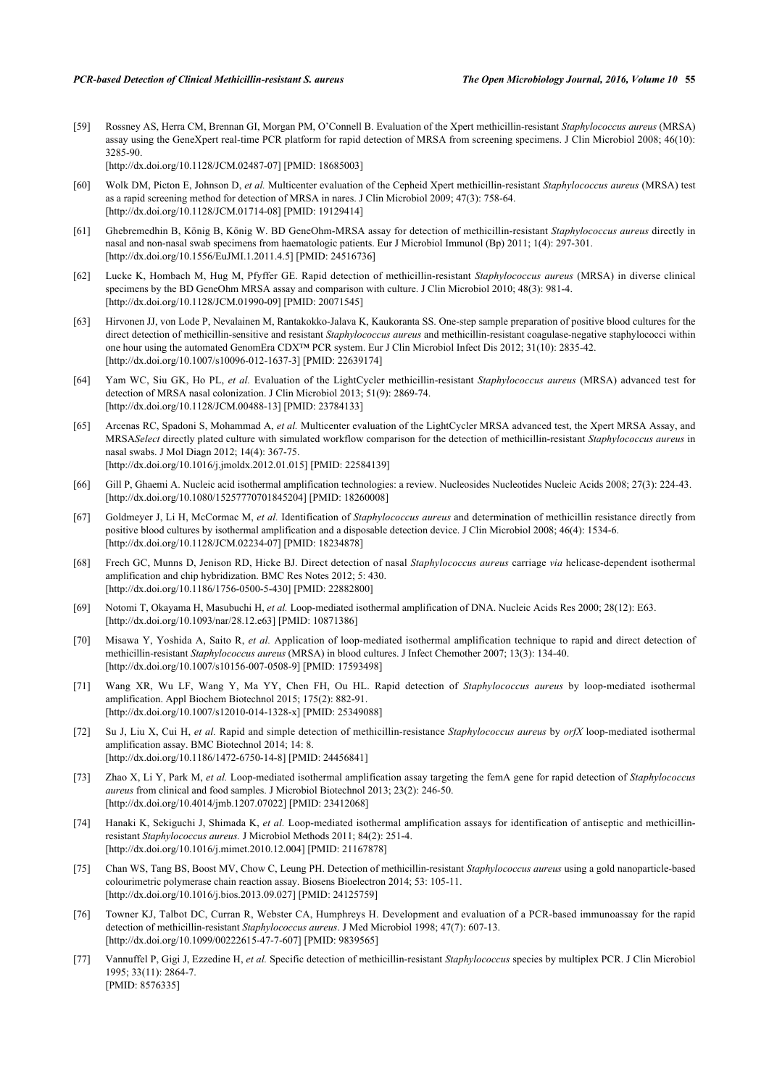<span id="page-10-4"></span>[59] Rossney AS, Herra CM, Brennan GI, Morgan PM, O'Connell B. Evaluation of the Xpert methicillin-resistant *Staphylococcus aureus* (MRSA) assay using the GeneXpert real-time PCR platform for rapid detection of MRSA from screening specimens. J Clin Microbiol 2008; 46(10): 3285-90.

[\[http://dx.doi.org/10.1128/JCM.02487-07](http://dx.doi.org/10.1128/JCM.02487-07)] [PMID: [18685003\]](http://www.ncbi.nlm.nih.gov/pubmed/18685003)

- <span id="page-10-5"></span>[60] Wolk DM, Picton E, Johnson D, *et al.* Multicenter evaluation of the Cepheid Xpert methicillin-resistant *Staphylococcus aureus* (MRSA) test as a rapid screening method for detection of MRSA in nares. J Clin Microbiol 2009; 47(3): 758-64. [\[http://dx.doi.org/10.1128/JCM.01714-08](http://dx.doi.org/10.1128/JCM.01714-08)] [PMID: [19129414\]](http://www.ncbi.nlm.nih.gov/pubmed/19129414)
- <span id="page-10-9"></span>[61] Ghebremedhin B, König B, König W. BD GeneOhm-MRSA assay for detection of methicillin-resistant *Staphylococcus aureus* directly in nasal and non-nasal swab specimens from haematologic patients. Eur J Microbiol Immunol (Bp) 2011; 1(4): 297-301. [\[http://dx.doi.org/10.1556/EuJMI.1.2011.4.5\]](http://dx.doi.org/10.1556/EuJMI.1.2011.4.5) [PMID: [24516736](http://www.ncbi.nlm.nih.gov/pubmed/24516736)]
- <span id="page-10-6"></span>[62] Lucke K, Hombach M, Hug M, Pfyffer GE. Rapid detection of methicillin-resistant *Staphylococcus aureus* (MRSA) in diverse clinical specimens by the BD GeneOhm MRSA assay and comparison with culture. J Clin Microbiol 2010; 48(3): 981-4. [\[http://dx.doi.org/10.1128/JCM.01990-09](http://dx.doi.org/10.1128/JCM.01990-09)] [PMID: [20071545\]](http://www.ncbi.nlm.nih.gov/pubmed/20071545)
- <span id="page-10-0"></span>[63] Hirvonen JJ, von Lode P, Nevalainen M, Rantakokko-Jalava K, Kaukoranta SS. One-step sample preparation of positive blood cultures for the direct detection of methicillin-sensitive and resistant *Staphylococcus aureus* and methicillin-resistant coagulase-negative staphylococci within one hour using the automated GenomEra CDX™ PCR system. Eur J Clin Microbiol Infect Dis 2012; 31(10): 2835-42. [\[http://dx.doi.org/10.1007/s10096-012-1637-3\]](http://dx.doi.org/10.1007/s10096-012-1637-3) [PMID: [22639174](http://www.ncbi.nlm.nih.gov/pubmed/22639174)]
- <span id="page-10-7"></span>[64] Yam WC, Siu GK, Ho PL, *et al.* Evaluation of the LightCycler methicillin-resistant *Staphylococcus aureus* (MRSA) advanced test for detection of MRSA nasal colonization. J Clin Microbiol 2013; 51(9): 2869-74. [\[http://dx.doi.org/10.1128/JCM.00488-13](http://dx.doi.org/10.1128/JCM.00488-13)] [PMID: [23784133\]](http://www.ncbi.nlm.nih.gov/pubmed/23784133)
- <span id="page-10-8"></span>[65] Arcenas RC, Spadoni S, Mohammad A, *et al.* Multicenter evaluation of the LightCycler MRSA advanced test, the Xpert MRSA Assay, and MRSA*Select* directly plated culture with simulated workflow comparison for the detection of methicillin-resistant *Staphylococcus aureus* in nasal swabs. J Mol Diagn 2012; 14(4): 367-75. [\[http://dx.doi.org/10.1016/j.jmoldx.2012.01.015\]](http://dx.doi.org/10.1016/j.jmoldx.2012.01.015) [PMID: [22584139](http://www.ncbi.nlm.nih.gov/pubmed/22584139)]
- <span id="page-10-11"></span>[66] Gill P, Ghaemi A. Nucleic acid isothermal amplification technologies: a review. Nucleosides Nucleotides Nucleic Acids 2008; 27(3): 224-43. [\[http://dx.doi.org/10.1080/15257770701845204\]](http://dx.doi.org/10.1080/15257770701845204) [PMID: [18260008](http://www.ncbi.nlm.nih.gov/pubmed/18260008)]
- <span id="page-10-10"></span>[67] Goldmeyer J, Li H, McCormac M, *et al.* Identification of *Staphylococcus aureus* and determination of methicillin resistance directly from positive blood cultures by isothermal amplification and a disposable detection device. J Clin Microbiol 2008; 46(4): 1534-6. [\[http://dx.doi.org/10.1128/JCM.02234-07](http://dx.doi.org/10.1128/JCM.02234-07)] [PMID: [18234878\]](http://www.ncbi.nlm.nih.gov/pubmed/18234878)
- <span id="page-10-12"></span>[68] Frech GC, Munns D, Jenison RD, Hicke BJ. Direct detection of nasal *Staphylococcus aureus* carriage *via* helicase-dependent isothermal amplification and chip hybridization. BMC Res Notes 2012; 5: 430. [\[http://dx.doi.org/10.1186/1756-0500-5-430\]](http://dx.doi.org/10.1186/1756-0500-5-430) [PMID: [22882800](http://www.ncbi.nlm.nih.gov/pubmed/22882800)]
- <span id="page-10-13"></span>[69] Notomi T, Okayama H, Masubuchi H, *et al.* Loop-mediated isothermal amplification of DNA. Nucleic Acids Res 2000; 28(12): E63. [\[http://dx.doi.org/10.1093/nar/28.12.e63\]](http://dx.doi.org/10.1093/nar/28.12.e63) [PMID: [10871386](http://www.ncbi.nlm.nih.gov/pubmed/10871386)]
- <span id="page-10-14"></span>[70] Misawa Y, Yoshida A, Saito R, *et al.* Application of loop-mediated isothermal amplification technique to rapid and direct detection of methicillin-resistant *Staphylococcus aureus* (MRSA) in blood cultures. J Infect Chemother 2007; 13(3): 134-40. [\[http://dx.doi.org/10.1007/s10156-007-0508-9\]](http://dx.doi.org/10.1007/s10156-007-0508-9) [PMID: [17593498](http://www.ncbi.nlm.nih.gov/pubmed/17593498)]
- <span id="page-10-15"></span>[71] Wang XR, Wu LF, Wang Y, Ma YY, Chen FH, Ou HL. Rapid detection of *Staphylococcus aureus* by loop-mediated isothermal amplification. Appl Biochem Biotechnol 2015; 175(2): 882-91. [\[http://dx.doi.org/10.1007/s12010-014-1328-x\]](http://dx.doi.org/10.1007/s12010-014-1328-x) [PMID: [25349088](http://www.ncbi.nlm.nih.gov/pubmed/25349088)]
- <span id="page-10-17"></span>[72] Su J, Liu X, Cui H, *et al.* Rapid and simple detection of methicillin-resistance *Staphylococcus aureus* by *orfX* loop-mediated isothermal amplification assay. BMC Biotechnol 2014; 14: 8. [\[http://dx.doi.org/10.1186/1472-6750-14-8\]](http://dx.doi.org/10.1186/1472-6750-14-8) [PMID: [24456841](http://www.ncbi.nlm.nih.gov/pubmed/24456841)]
- <span id="page-10-18"></span>[73] Zhao X, Li Y, Park M, *et al.* Loop-mediated isothermal amplification assay targeting the femA gene for rapid detection of *Staphylococcus aureus* from clinical and food samples. J Microbiol Biotechnol 2013; 23(2): 246-50. [\[http://dx.doi.org/10.4014/jmb.1207.07022](http://dx.doi.org/10.4014/jmb.1207.07022)] [PMID: [23412068\]](http://www.ncbi.nlm.nih.gov/pubmed/23412068)
- <span id="page-10-16"></span>[74] Hanaki K, Sekiguchi J, Shimada K, *et al.* Loop-mediated isothermal amplification assays for identification of antiseptic and methicillinresistant *Staphylococcus aureus.* J Microbiol Methods 2011; 84(2): 251-4. [\[http://dx.doi.org/10.1016/j.mimet.2010.12.004](http://dx.doi.org/10.1016/j.mimet.2010.12.004)] [PMID: [21167878](http://www.ncbi.nlm.nih.gov/pubmed/21167878)]
- <span id="page-10-1"></span>[75] Chan WS, Tang BS, Boost MV, Chow C, Leung PH. Detection of methicillin-resistant *Staphylococcus aureus* using a gold nanoparticle-based colourimetric polymerase chain reaction assay. Biosens Bioelectron 2014; 53: 105-11. [\[http://dx.doi.org/10.1016/j.bios.2013.09.027](http://dx.doi.org/10.1016/j.bios.2013.09.027)] [PMID: [24125759\]](http://www.ncbi.nlm.nih.gov/pubmed/24125759)
- <span id="page-10-2"></span>[76] Towner KJ, Talbot DC, Curran R, Webster CA, Humphreys H. Development and evaluation of a PCR-based immunoassay for the rapid detection of methicillin-resistant *Staphylococcus aureus*. J Med Microbiol 1998; 47(7): 607-13. [\[http://dx.doi.org/10.1099/00222615-47-7-607\]](http://dx.doi.org/10.1099/00222615-47-7-607) [PMID: [9839565](http://www.ncbi.nlm.nih.gov/pubmed/9839565)]
- <span id="page-10-3"></span>[77] Vannuffel P, Gigi J, Ezzedine H, *et al.* Specific detection of methicillin-resistant *Staphylococcus* species by multiplex PCR. J Clin Microbiol 1995; 33(11): 2864-7. [PMID: [8576335\]](http://www.ncbi.nlm.nih.gov/pubmed/8576335)